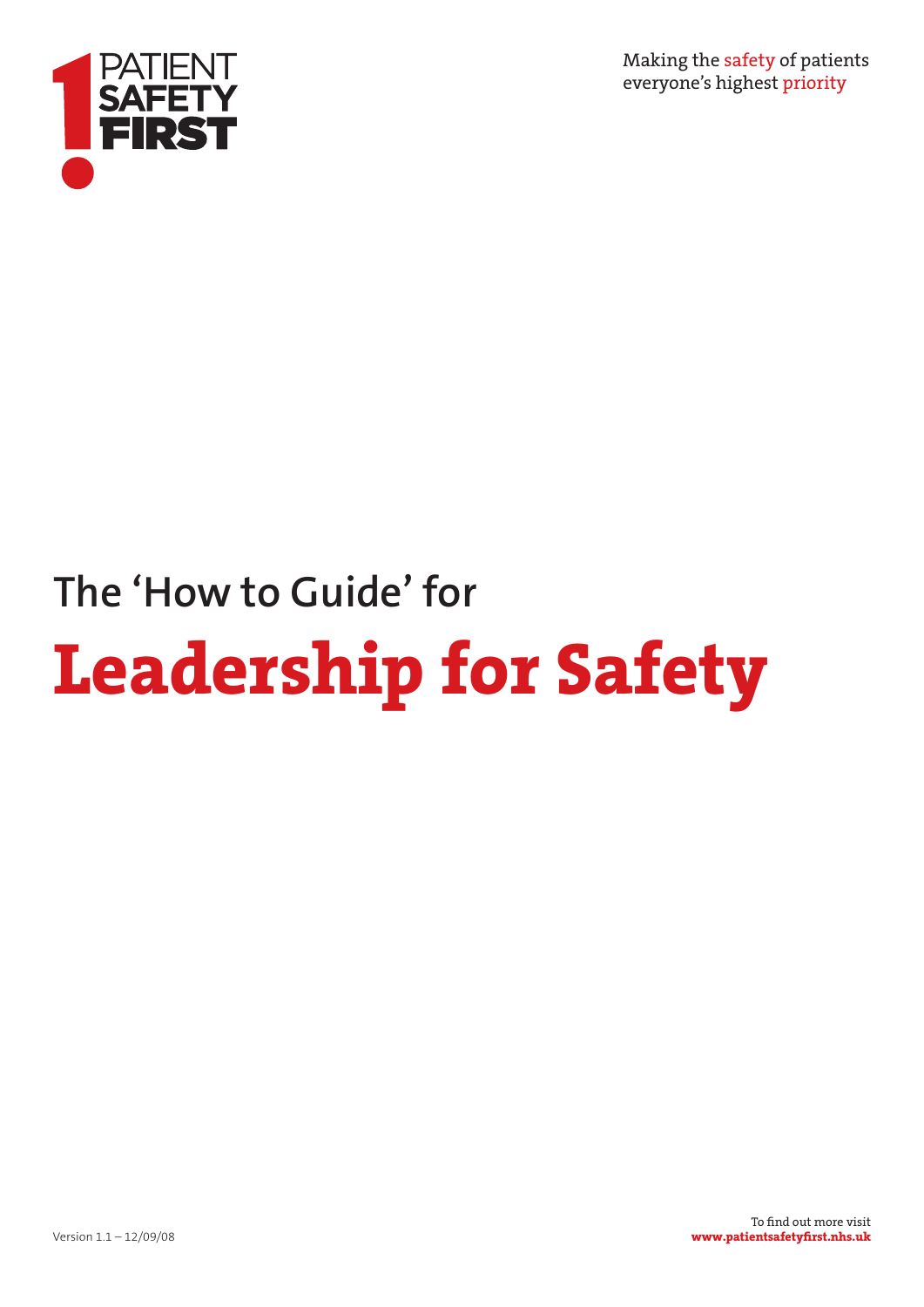

Making the safety of patients everyone's highest priority

# **The 'How to Guide' for Leadership for Safety**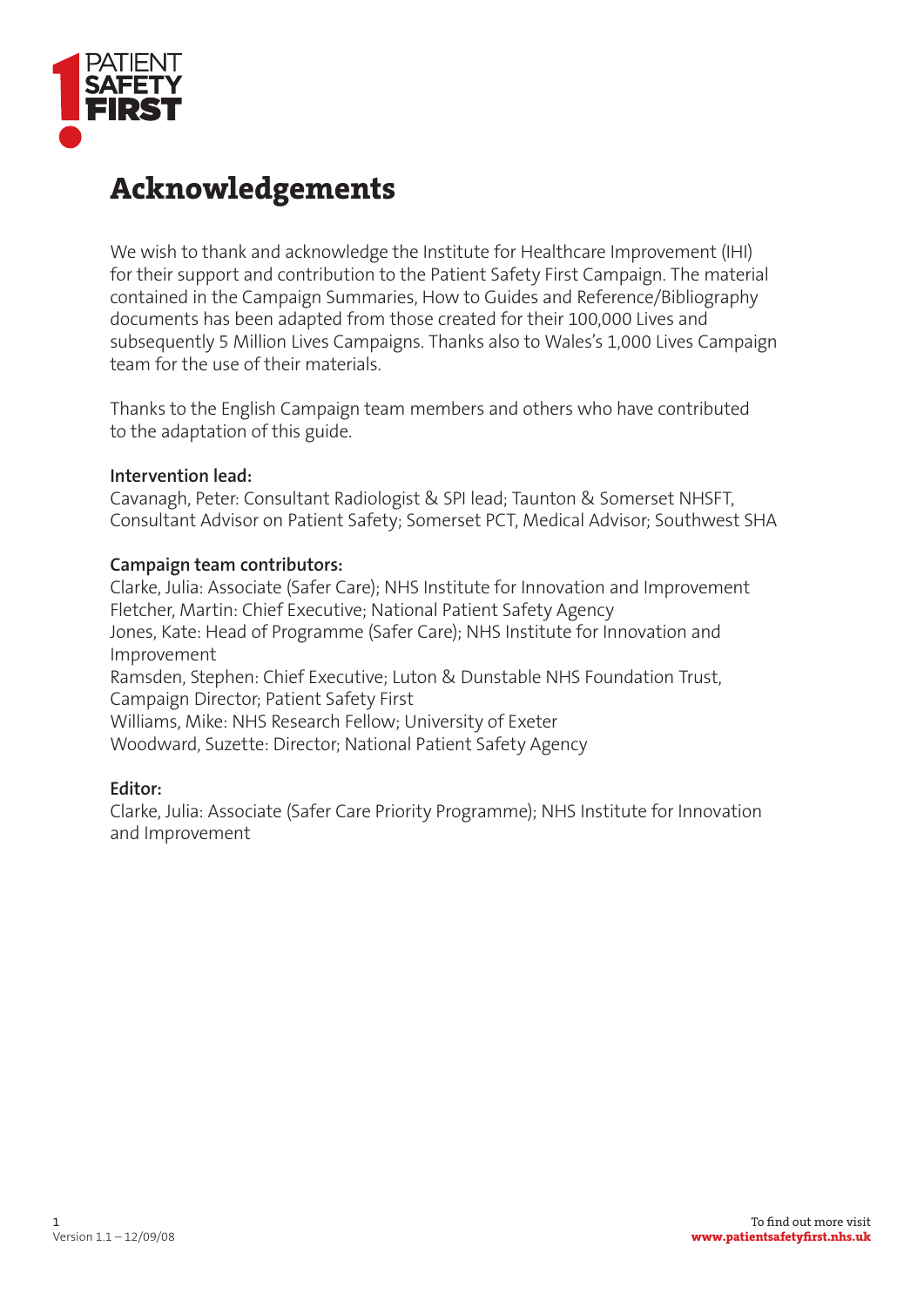

# **Acknowledgements**

We wish to thank and acknowledge the Institute for Healthcare Improvement (IHI) for their support and contribution to the Patient Safety First Campaign. The material contained in the Campaign Summaries, How to Guides and Reference/Bibliography documents has been adapted from those created for their 100,000 Lives and subsequently 5 Million Lives Campaigns. Thanks also to Wales's 1,000 Lives Campaign team for the use of their materials.

Thanks to the English Campaign team members and others who have contributed to the adaptation of this guide.

#### **Intervention lead:**

Cavanagh, Peter: Consultant Radiologist & SPI lead; Taunton & Somerset NHSFT, Consultant Advisor on Patient Safety; Somerset PCT, Medical Advisor; Southwest SHA

#### **Campaign team contributors:**

Clarke, Julia: Associate (Safer Care); NHS Institute for Innovation and Improvement Fletcher, Martin: Chief Executive; National Patient Safety Agency Jones, Kate: Head of Programme (Safer Care); NHS Institute for Innovation and Improvement Ramsden, Stephen: Chief Executive; Luton & Dunstable NHS Foundation Trust, Campaign Director; Patient Safety First Williams, Mike: NHS Research Fellow; University of Exeter Woodward, Suzette: Director; National Patient Safety Agency

#### **Editor:**

Clarke, Julia: Associate (Safer Care Priority Programme); NHS Institute for Innovation and Improvement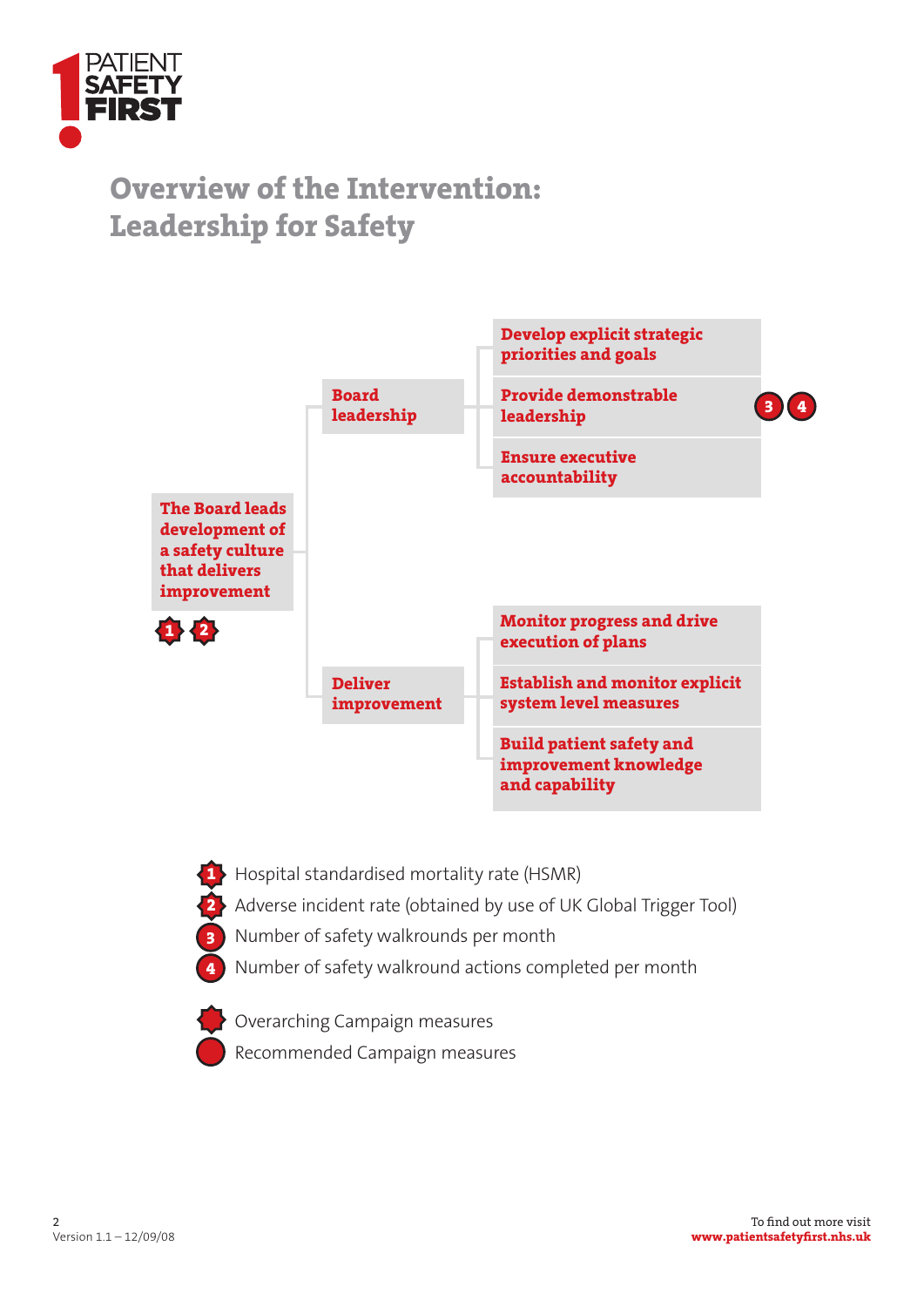

# **Overview of the Intervention: Leadership for Safety**



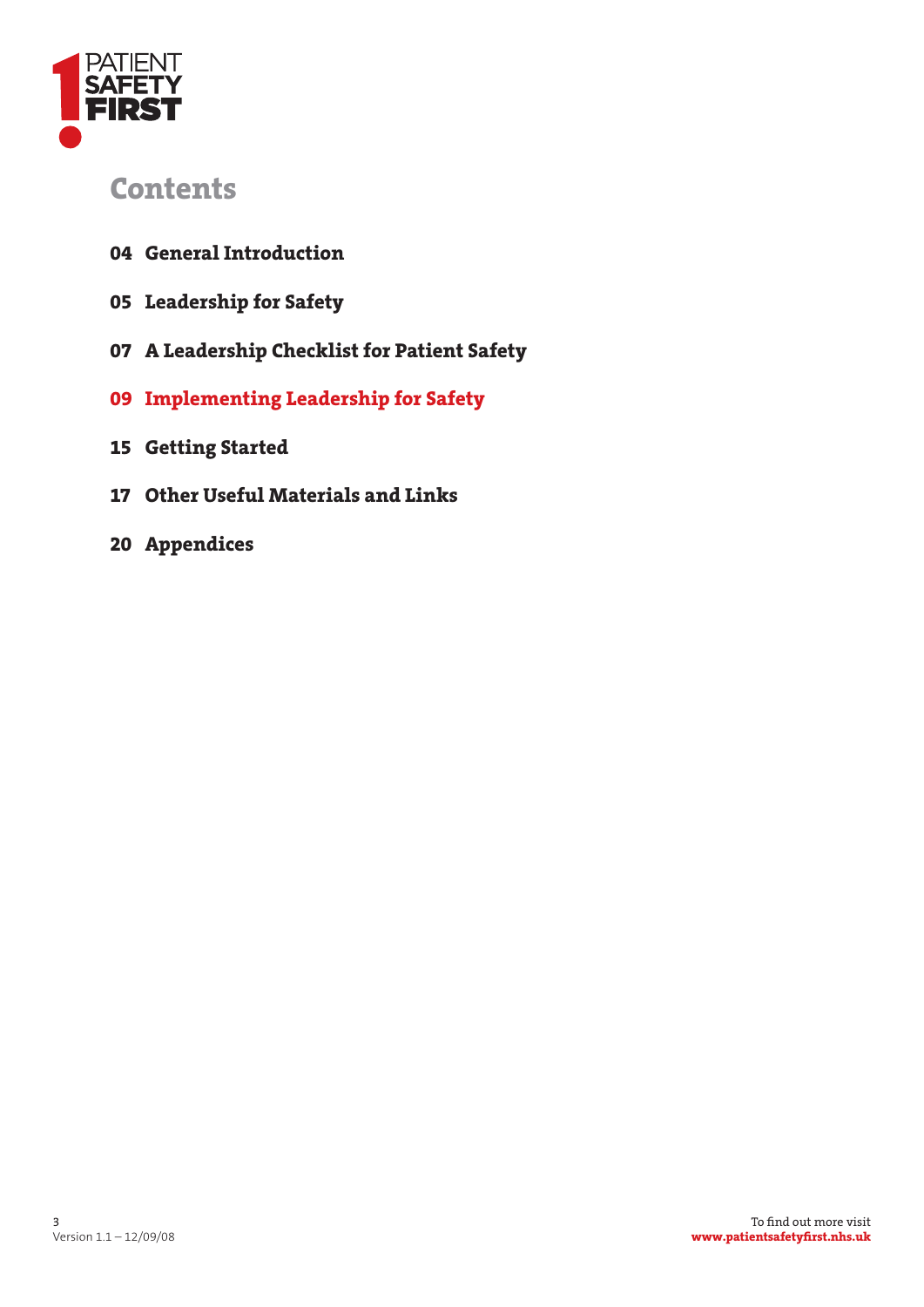

# **Contents**

- **04 General Introduction**
- **05 Leadership for Safety**
- **07 A Leadership Checklist for Patient Safety**
- **09 Implementing Leadership for Safety**
- **15 Getting Started**
- **17 Other Useful Materials and Links**
- **20 Appendices**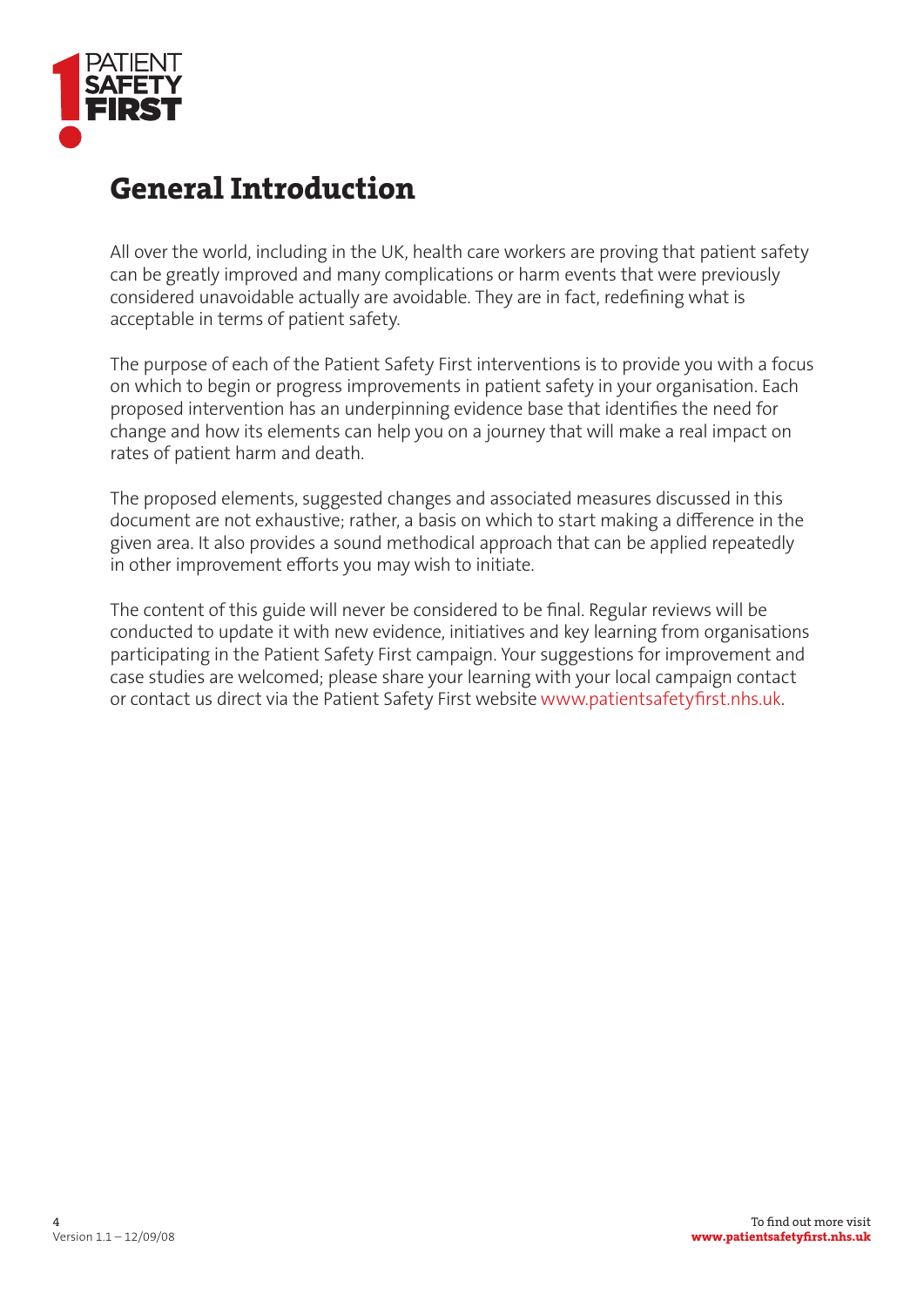

# **General Introduction**

All over the world, including in the UK, health care workers are proving that patient safety can be greatly improved and many complications or harm events that were previously considered unavoidable actually are avoidable. They are in fact, redefining what is acceptable in terms of patient safety.

The purpose of each of the Patient Safety First interventions is to provide you with a focus on which to begin or progress improvements in patient safety in your organisation. Each proposed intervention has an underpinning evidence base that identifies the need for change and how its elements can help you on a journey that will make a real impact on rates of patient harm and death.

The proposed elements, suggested changes and associated measures discussed in this document are not exhaustive; rather, a basis on which to start making a difference in the given area. It also provides a sound methodical approach that can be applied repeatedly in other improvement efforts you may wish to initiate.

The content of this guide will never be considered to be final. Regular reviews will be conducted to update it with new evidence, initiatives and key learning from organisations participating in the Patient Safety First campaign. Your suggestions for improvement and case studies are welcomed; please share your learning with your local campaign contact or contact us direct via the Patient Safety First website www.patientsafetyfirst.nhs.uk.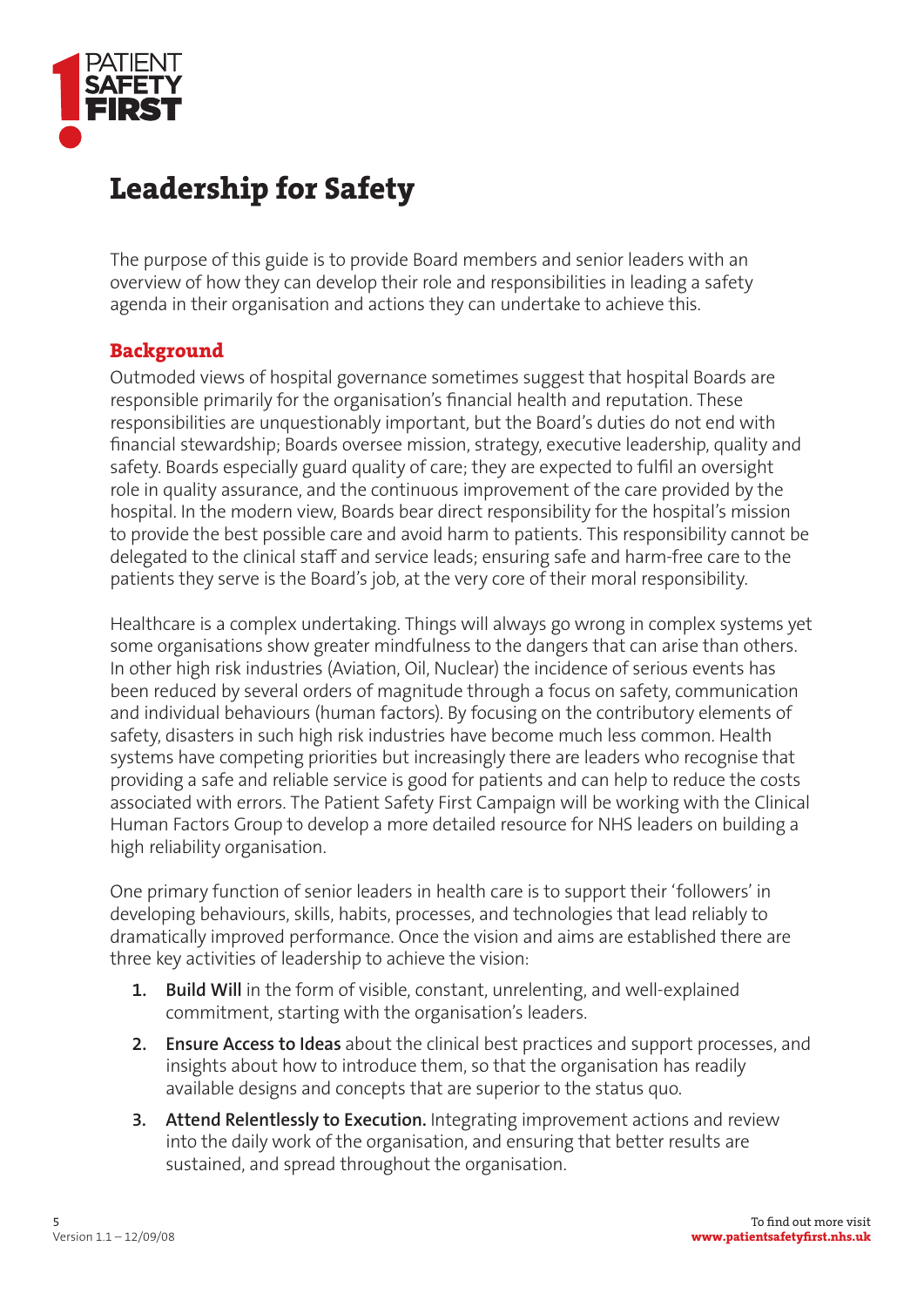

# **Leadership for Safety**

The purpose of this guide is to provide Board members and senior leaders with an overview of how they can develop their role and responsibilities in leading a safety agenda in their organisation and actions they can undertake to achieve this.

### **Background**

Outmoded views of hospital governance sometimes suggest that hospital Boards are responsible primarily for the organisation's financial health and reputation. These responsibilities are unquestionably important, but the Board's duties do not end with financial stewardship; Boards oversee mission, strategy, executive leadership, quality and safety. Boards especially guard quality of care; they are expected to fulfil an oversight role in quality assurance, and the continuous improvement of the care provided by the hospital. In the modern view, Boards bear direct responsibility for the hospital's mission to provide the best possible care and avoid harm to patients. This responsibility cannot be delegated to the clinical staff and service leads; ensuring safe and harm-free care to the patients they serve is the Board's job, at the very core of their moral responsibility.

Healthcare is a complex undertaking. Things will always go wrong in complex systems yet some organisations show greater mindfulness to the dangers that can arise than others. In other high risk industries (Aviation, Oil, Nuclear) the incidence of serious events has been reduced by several orders of magnitude through a focus on safety, communication and individual behaviours (human factors). By focusing on the contributory elements of safety, disasters in such high risk industries have become much less common. Health systems have competing priorities but increasingly there are leaders who recognise that providing a safe and reliable service is good for patients and can help to reduce the costs associated with errors. The Patient Safety First Campaign will be working with the Clinical Human Factors Group to develop a more detailed resource for NHS leaders on building a high reliability organisation.

One primary function of senior leaders in health care is to support their 'followers' in developing behaviours, skills, habits, processes, and technologies that lead reliably to dramatically improved performance. Once the vision and aims are established there are three key activities of leadership to achieve the vision:

- **1. Build Will** in the form of visible, constant, unrelenting, and well-explained commitment, starting with the organisation's leaders.
- **2. Ensure Access to Ideas** about the clinical best practices and support processes, and insights about how to introduce them, so that the organisation has readily available designs and concepts that are superior to the status quo.
- **3. Attend Relentlessly to Execution.** Integrating improvement actions and review into the daily work of the organisation, and ensuring that better results are sustained, and spread throughout the organisation.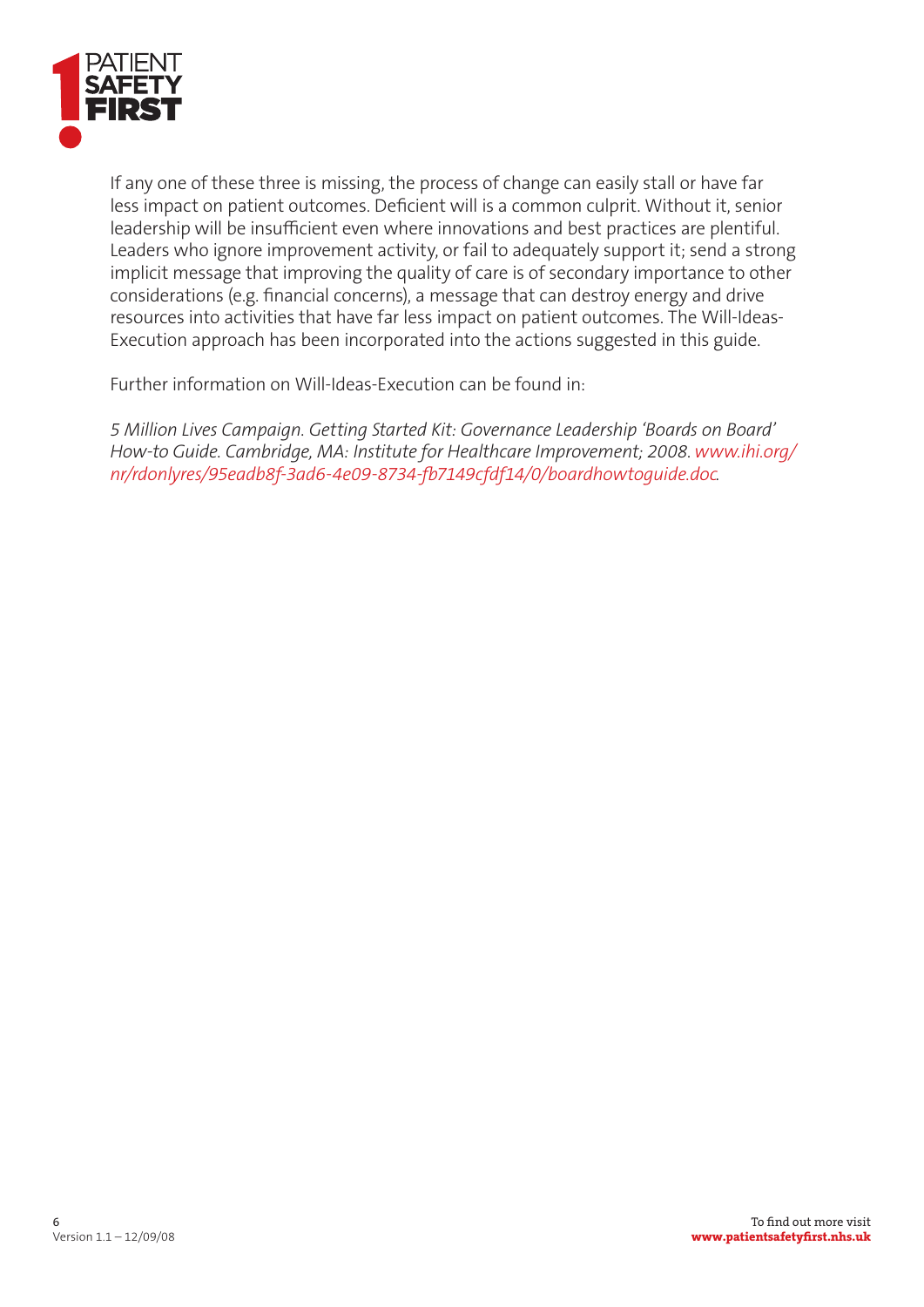

If any one of these three is missing, the process of change can easily stall or have far less impact on patient outcomes. Deficient will is a common culprit. Without it, senior leadership will be insufficient even where innovations and best practices are plentiful. Leaders who ignore improvement activity, or fail to adequately support it; send a strong implicit message that improving the quality of care is of secondary importance to other considerations (e.g. financial concerns), a message that can destroy energy and drive resources into activities that have far less impact on patient outcomes. The Will-Ideas-Execution approach has been incorporated into the actions suggested in this guide.

Further information on Will-Ideas-Execution can be found in:

*5 Million Lives Campaign. Getting Started Kit: Governance Leadership 'Boards on Board' How-to Guide. Cambridge, MA: Institute for Healthcare Improvement; 2008. www.ihi.org/ nr/rdonlyres/95eadb8f-3ad6-4e09-8734-!7149cfdf14/0/boardhowtoguide.doc.*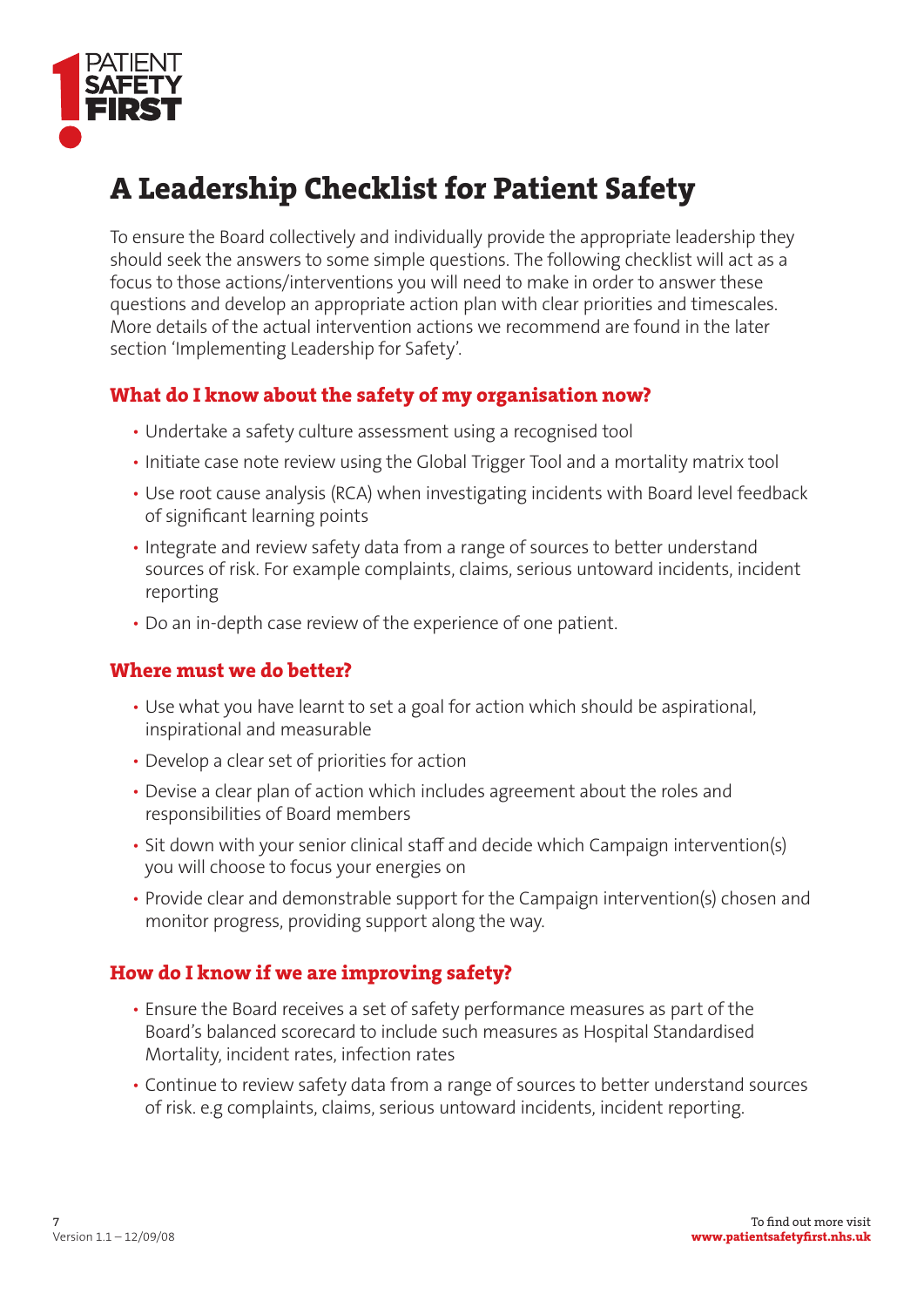

# **A Leadership Checklist for Patient Safety**

To ensure the Board collectively and individually provide the appropriate leadership they should seek the answers to some simple questions. The following checklist will act as a focus to those actions/interventions you will need to make in order to answer these questions and develop an appropriate action plan with clear priorities and timescales. More details of the actual intervention actions we recommend are found in the later section 'Implementing Leadership for Safety'.

### **What do I know about the safety of my organisation now?**

- Undertake a safety culture assessment using a recognised tool
- Initiate case note review using the Global Trigger Tool and a mortality matrix tool
- Use root cause analysis (RCA) when investigating incidents with Board level feedback of significant learning points
- Integrate and review safety data from a range of sources to better understand sources of risk. For example complaints, claims, serious untoward incidents, incident reporting
- Do an in-depth case review of the experience of one patient.

### **Where must we do better?**

- Use what you have learnt to set a goal for action which should be aspirational, inspirational and measurable
- Develop a clear set of priorities for action
- Devise a clear plan of action which includes agreement about the roles and responsibilities of Board members
- Sit down with your senior clinical staff and decide which Campaign intervention(s) you will choose to focus your energies on
- Provide clear and demonstrable support for the Campaign intervention(s) chosen and monitor progress, providing support along the way.

### **How do I know if we are improving safety?**

- Ensure the Board receives a set of safety performance measures as part of the Board's balanced scorecard to include such measures as Hospital Standardised Mortality, incident rates, infection rates
- Continue to review safety data from a range of sources to better understand sources of risk. e.g complaints, claims, serious untoward incidents, incident reporting.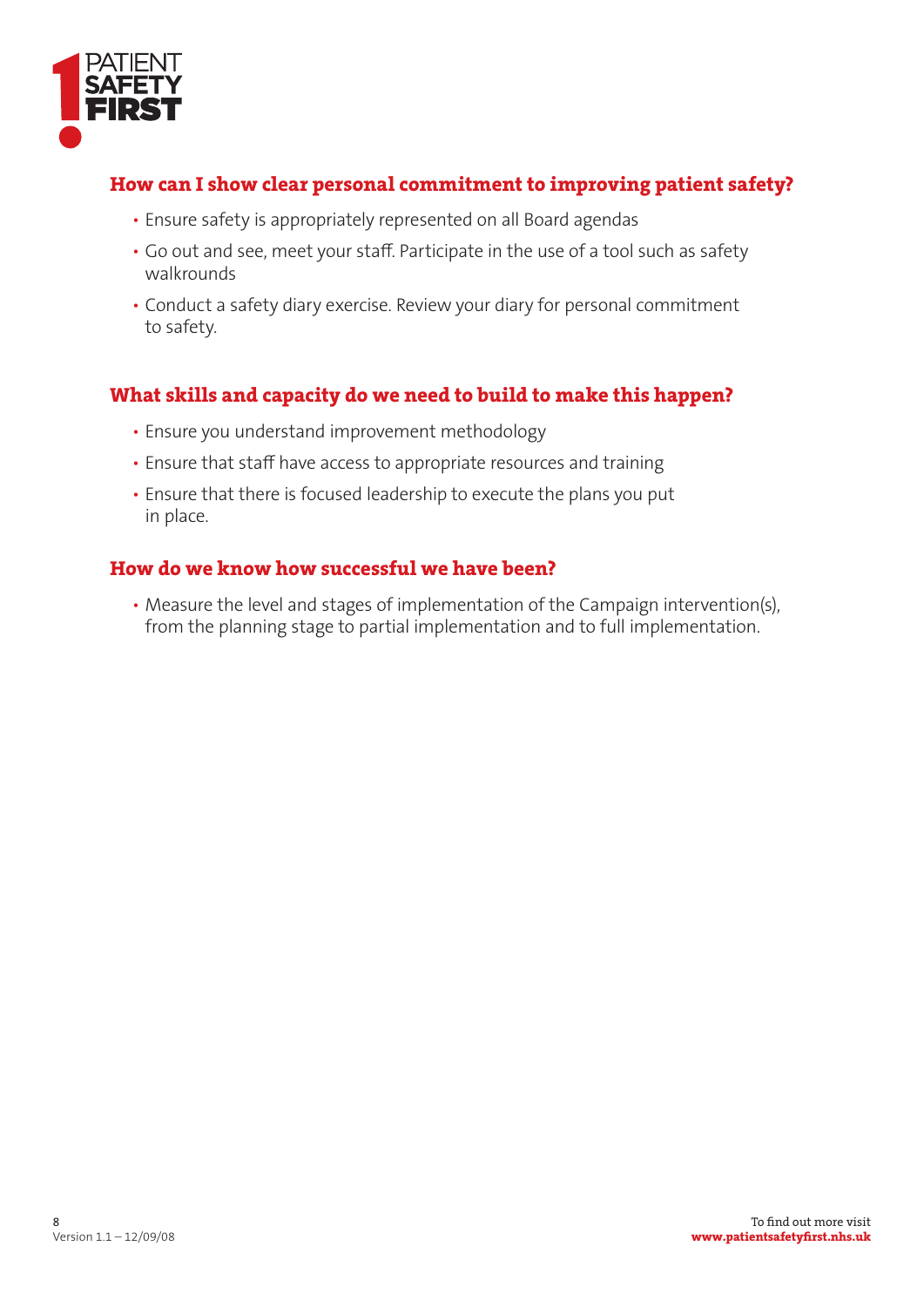

# **How can I show clear personal commitment to improving patient safety?**

- Ensure safety is appropriately represented on all Board agendas
- Go out and see, meet your staff. Participate in the use of a tool such as safety walkrounds
- Conduct a safety diary exercise. Review your diary for personal commitment to safety.

# **What skills and capacity do we need to build to make this happen?**

- Ensure you understand improvement methodology
- Ensure that staff have access to appropriate resources and training
- Ensure that there is focused leadership to execute the plans you put in place.

# **How do we know how successful we have been?**

• Measure the level and stages of implementation of the Campaign intervention(s), from the planning stage to partial implementation and to full implementation.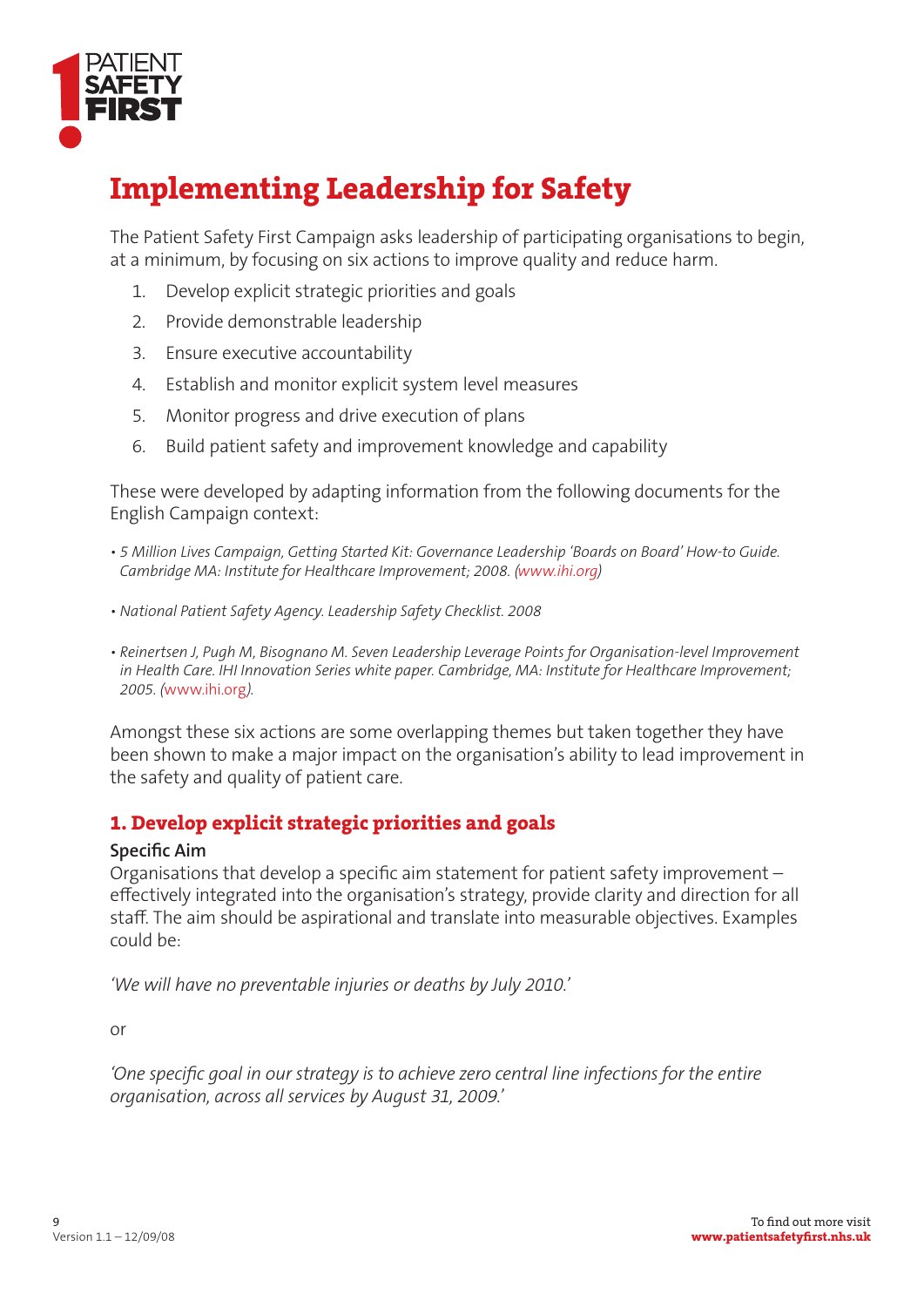

# **Implementing Leadership for Safety**

The Patient Safety First Campaign asks leadership of participating organisations to begin, at a minimum, by focusing on six actions to improve quality and reduce harm.

- 1. Develop explicit strategic priorities and goals
- 2. Provide demonstrable leadership
- 3. Ensure executive accountability
- 4. Establish and monitor explicit system level measures
- 5. Monitor progress and drive execution of plans
- 6. Build patient safety and improvement knowledge and capability

These were developed by adapting information from the following documents for the English Campaign context:

- 5 Million Lives Campaign, Getting Started Kit: Governance Leadership 'Boards on Board' How-to Guide. *Cambridge MA: Institute for Healthcare Improvement; 2008. (www.ihi.org)*
- National Patient Safety Agency. Leadership Safety Checklist. 2008
- Reinertsen J, Pugh M, Bisognano M. Seven Leadership Leverage Points for Organisation-level Improvement in Health Care. IHI Innovation Series white paper. Cambridge, MA: Institute for Healthcare Improvement; *2005. (*www.ihi.org*).*

Amongst these six actions are some overlapping themes but taken together they have been shown to make a major impact on the organisation's ability to lead improvement in the safety and quality of patient care.

### **1. Develop explicit strategic priorities and goals**

#### **Specific Aim**

Organisations that develop a specific aim statement for patient safety improvement  $$ effectively integrated into the organisation's strategy, provide clarity and direction for all staff. The aim should be aspirational and translate into measurable objectives. Examples could be:

*We will have no preventable injuries or deaths by July 2010.* 

or

'One specific goal in our strategy is to achieve zero central line infections for the entire *organisation, across all services by August 31, 2009.'*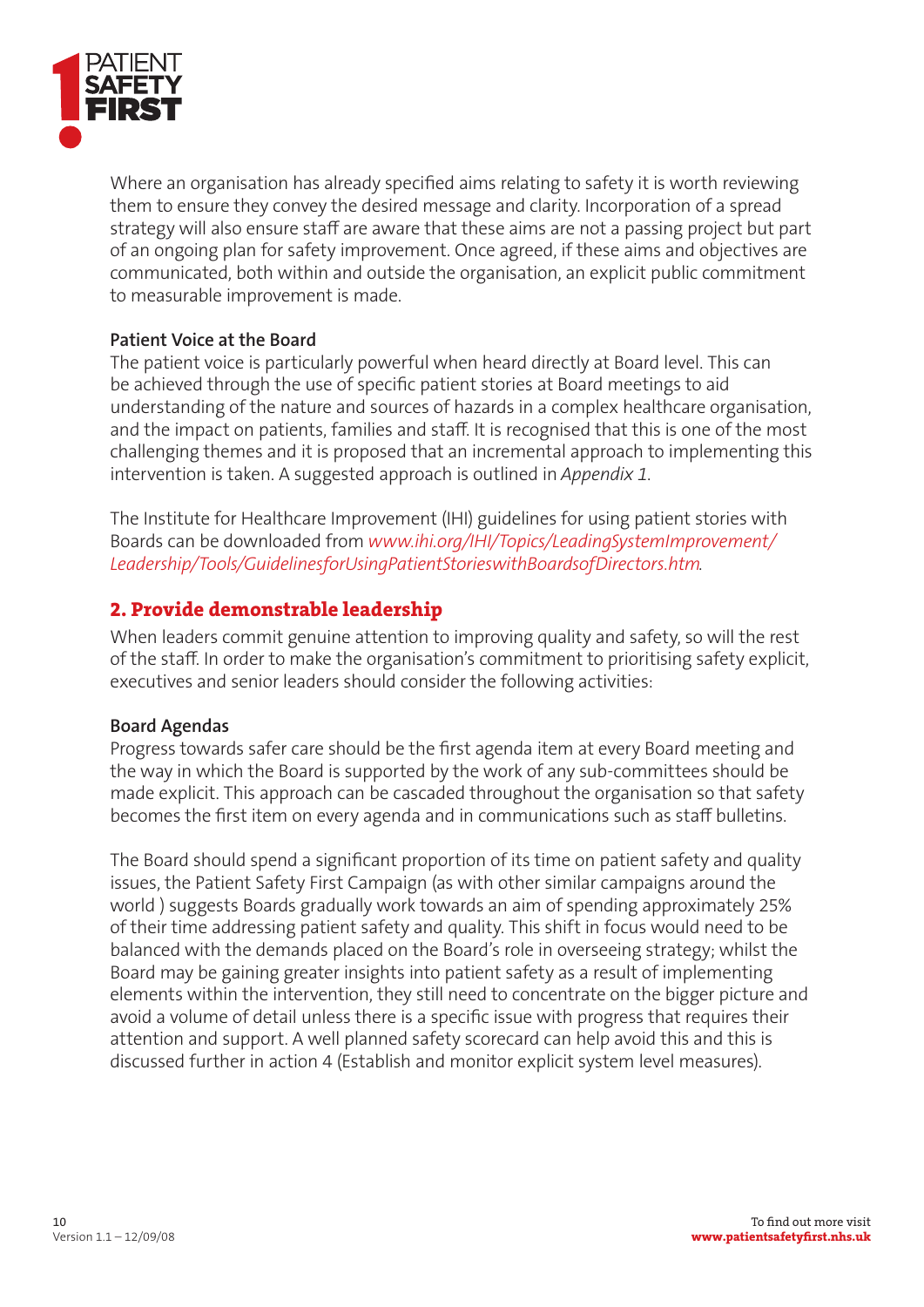

Where an organisation has already specified aims relating to safety it is worth reviewing them to ensure they convey the desired message and clarity. Incorporation of a spread strategy will also ensure staff are aware that these aims are not a passing project but part of an ongoing plan for safety improvement. Once agreed, if these aims and objectives are communicated, both within and outside the organisation, an explicit public commitment to measurable improvement is made.

#### **Patient Voice at the Board**

The patient voice is particularly powerful when heard directly at Board level. This can be achieved through the use of specific patient stories at Board meetings to aid understanding of the nature and sources of hazards in a complex healthcare organisation, and the impact on patients, families and staff. It is recognised that this is one of the most challenging themes and it is proposed that an incremental approach to implementing this intervention is taken. A suggested approach is outlined in *Appendix 1*.

The Institute for Healthcare Improvement (IHI) guidelines for using patient stories with Boards can be downloaded from *www.ihi.org/IHI/Topics/LeadingSystemImprovement/* Leadership/Tools/GuidelinesforUsingPatientStorieswithBoardsofDirectors.htm.

### **2. Provide demonstrable leadership**

When leaders commit genuine attention to improving quality and safety, so will the rest of the staff. In order to make the organisation's commitment to prioritising safety explicit, executives and senior leaders should consider the following activities:

#### **Board Agendas**

Progress towards safer care should be the first agenda item at every Board meeting and the way in which the Board is supported by the work of any sub-committees should be made explicit. This approach can be cascaded throughout the organisation so that safety becomes the first item on every agenda and in communications such as staff bulletins.

The Board should spend a significant proportion of its time on patient safety and quality issues, the Patient Safety First Campaign (as with other similar campaigns around the world ) suggests Boards gradually work towards an aim of spending approximately 25% of their time addressing patient safety and quality. This shift in focus would need to be balanced with the demands placed on the Board's role in overseeing strategy; whilst the Board may be gaining greater insights into patient safety as a result of implementing elements within the intervention, they still need to concentrate on the bigger picture and avoid a volume of detail unless there is a specific issue with progress that requires their attention and support. A well planned safety scorecard can help avoid this and this is discussed further in action 4 (Establish and monitor explicit system level measures).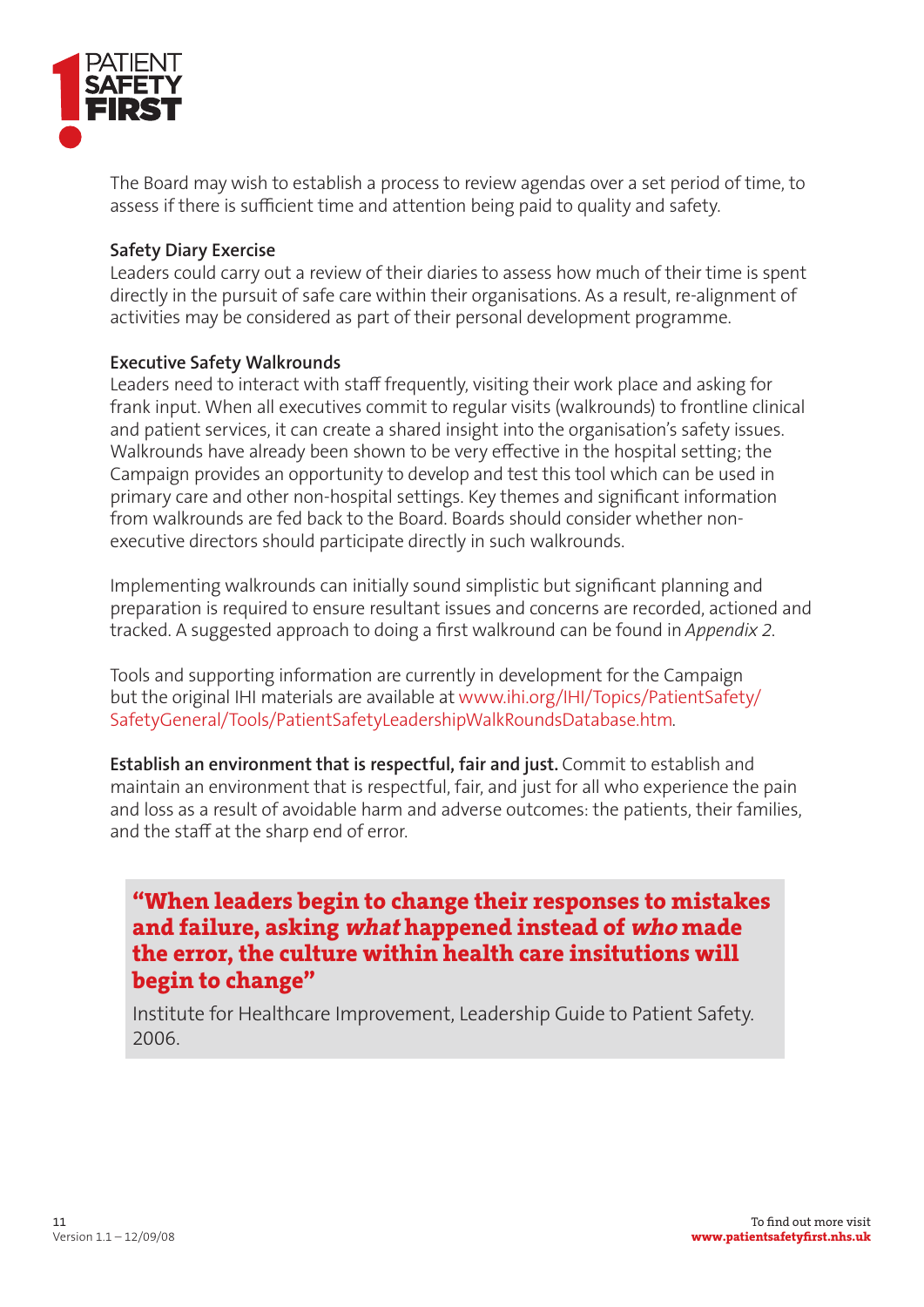

The Board may wish to establish a process to review agendas over a set period of time, to assess if there is sufficient time and attention being paid to quality and safety.

#### **Safety Diary Exercise**

Leaders could carry out a review of their diaries to assess how much of their time is spent directly in the pursuit of safe care within their organisations. As a result, re-alignment of activities may be considered as part of their personal development programme.

#### **Executive Safety Walkrounds**

Leaders need to interact with staff frequently, visiting their work place and asking for frank input. When all executives commit to regular visits (walkrounds) to frontline clinical and patient services, it can create a shared insight into the organisation's safety issues. Walkrounds have already been shown to be very effective in the hospital setting; the Campaign provides an opportunity to develop and test this tool which can be used in primary care and other non-hospital settings. Key themes and significant information from walkrounds are fed back to the Board. Boards should consider whether nonexecutive directors should participate directly in such walkrounds.

Implementing walkrounds can initially sound simplistic but significant planning and preparation is required to ensure resultant issues and concerns are recorded, actioned and tracked. A suggested approach to doing a first walkround can be found in *Appendix 2*.

Tools and supporting information are currently in development for the Campaign but the original IHI materials are available at www.ihi.org/IHI/Topics/PatientSafety/ SafetyGeneral/Tools/PatientSafetyLeadershipWalkRoundsDatabase.htm.

**Establish an environment that is respectful, fair and just.** Commit to establish and maintain an environment that is respectful, fair, and just for all who experience the pain and loss as a result of avoidable harm and adverse outcomes: the patients, their families, and the staff at the sharp end of error.

**"When leaders begin to change their responses to mistakes and failure, asking what happened instead of who made the error, the culture within health care insitutions will begin to change"**

Institute for Healthcare Improvement, Leadership Guide to Patient Safety. 2006.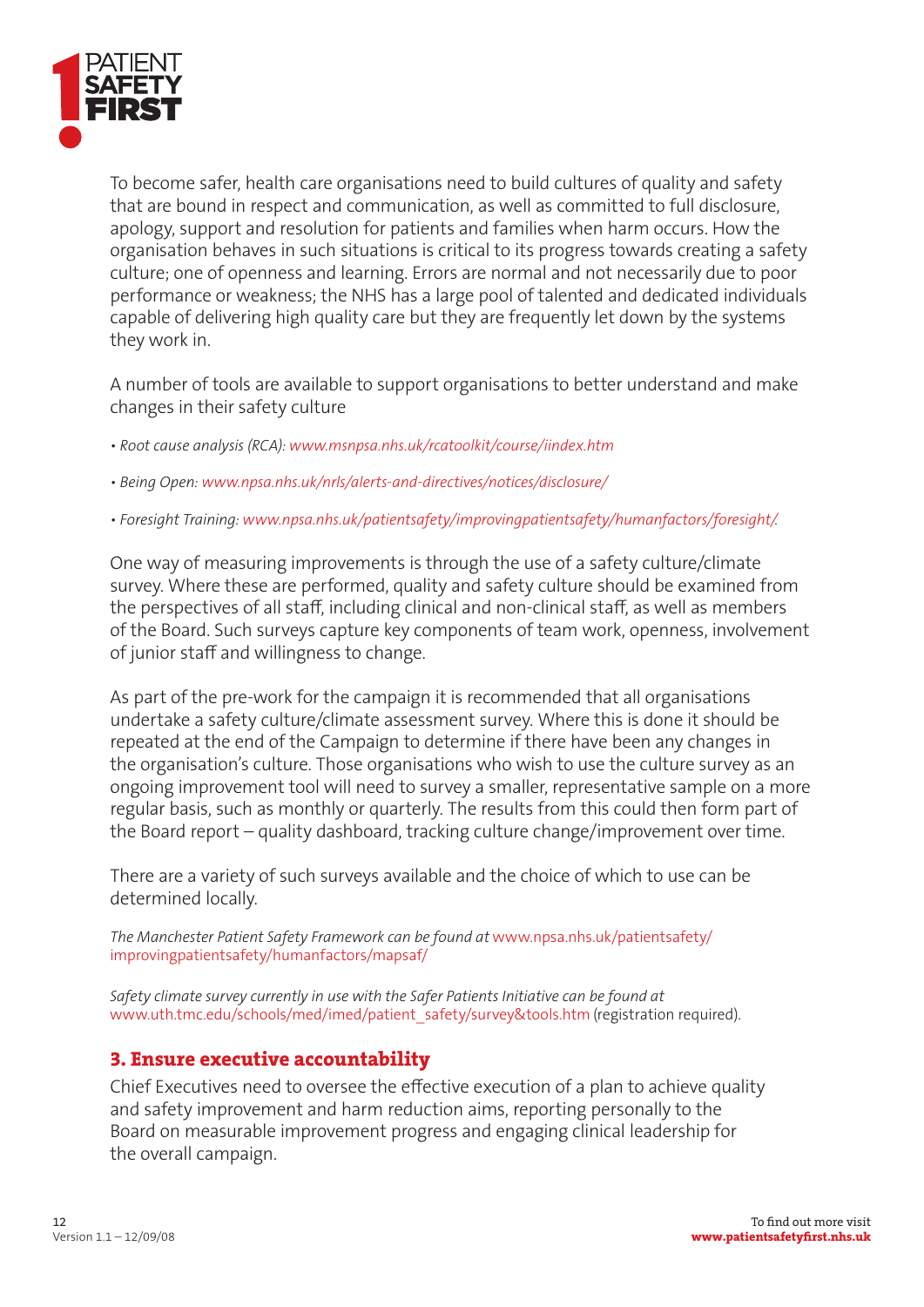

To become safer, health care organisations need to build cultures of quality and safety that are bound in respect and communication, as well as committed to full disclosure, apology, support and resolution for patients and families when harm occurs. How the organisation behaves in such situations is critical to its progress towards creating a safety culture; one of openness and learning. Errors are normal and not necessarily due to poor performance or weakness; the NHS has a large pool of talented and dedicated individuals capable of delivering high quality care but they are frequently let down by the systems they work in.

A number of tools are available to support organisations to better understand and make changes in their safety culture

- Root cause analysis (RCA): www.msnpsa.nhs.uk/rcatoolkit/course/iindex.htm
- Being Open: www.npsa.nhs.uk/nrls/alerts-and-directives/notices/disclosure/
- Foresight Training: www.npsa.nhs.uk/patientsafety/improvingpatientsafety/humanfactors/foresight/.

One way of measuring improvements is through the use of a safety culture/climate survey. Where these are performed, quality and safety culture should be examined from the perspectives of all staff, including clinical and non-clinical staff, as well as members of the Board. Such surveys capture key components of team work, openness, involvement of junior staff and willingness to change.

As part of the pre-work for the campaign it is recommended that all organisations undertake a safety culture/climate assessment survey. Where this is done it should be repeated at the end of the Campaign to determine if there have been any changes in the organisation's culture. Those organisations who wish to use the culture survey as an ongoing improvement tool will need to survey a smaller, representative sample on a more regular basis, such as monthly or quarterly. The results from this could then form part of the Board report – quality dashboard, tracking culture change/improvement over time.

There are a variety of such surveys available and the choice of which to use can be determined locally.

The Manchester Patient Safety Framework can be found at www.npsa.nhs.uk/patientsafety/ improvingpatientsafety/humanfactors/mapsaf/

Safety climate survey currently in use with the Safer Patients Initiative can be found at www.uth.tmc.edu/schools/med/imed/patient\_safety/survey&tools.htm (registration required).

#### **3. Ensure executive accountability**

Chief Executives need to oversee the effective execution of a plan to achieve quality and safety improvement and harm reduction aims, reporting personally to the Board on measurable improvement progress and engaging clinical leadership for the overall campaign.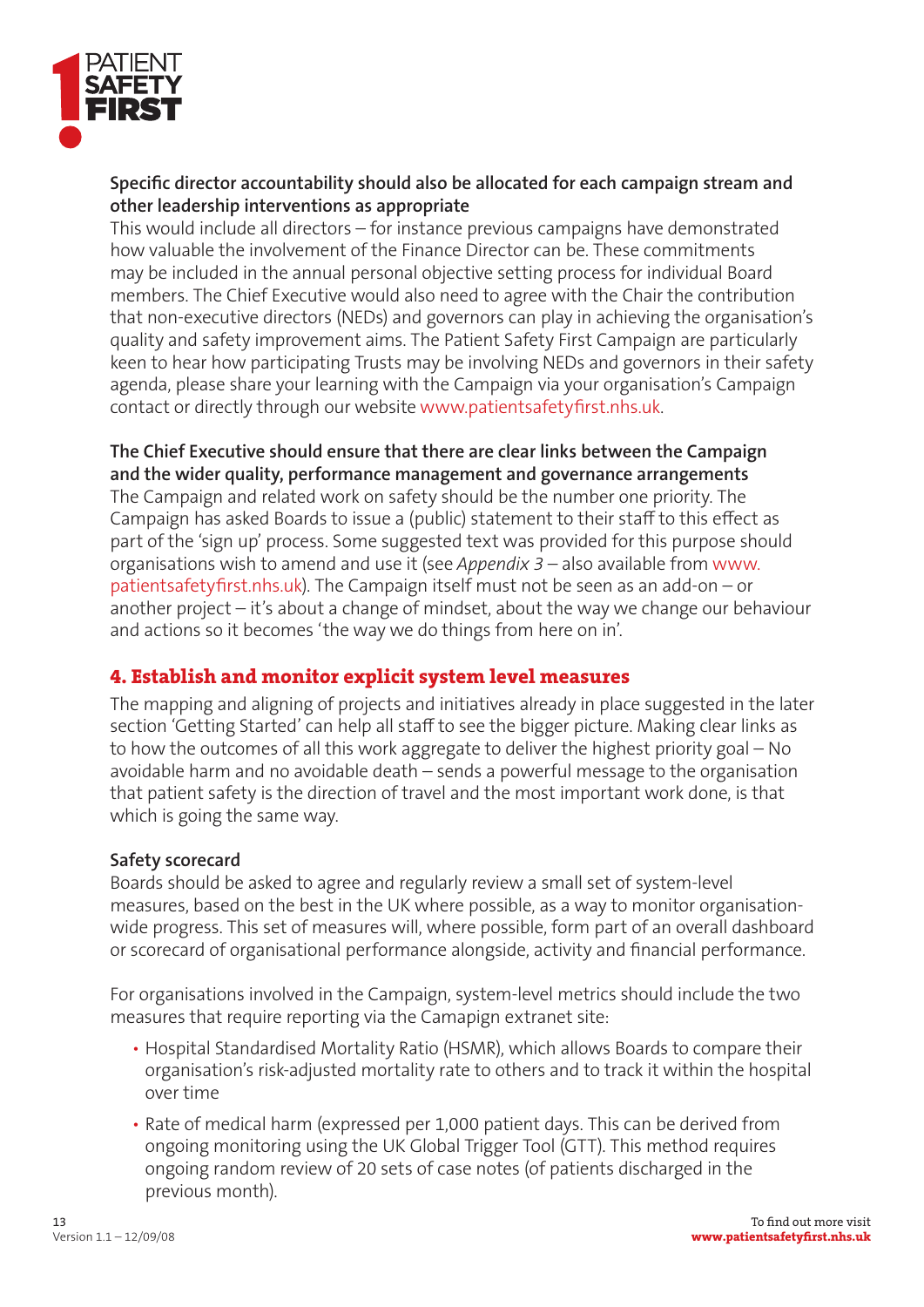

#### Specific director accountability should also be allocated for each campaign stream and **other leadership interventions as appropriate**

This would include all directors – for instance previous campaigns have demonstrated how valuable the involvement of the Finance Director can be. These commitments may be included in the annual personal objective setting process for individual Board members. The Chief Executive would also need to agree with the Chair the contribution that non-executive directors (NEDs) and governors can play in achieving the organisation's quality and safety improvement aims. The Patient Safety First Campaign are particularly keen to hear how participating Trusts may be involving NEDs and governors in their safety agenda, please share your learning with the Campaign via your organisation's Campaign contact or directly through our website www.patientsafetyfirst.nhs.uk.

#### **The Chief Executive should ensure that there are clear links between the Campaign and the wider quality, performance management and governance arrangements**

The Campaign and related work on safety should be the number one priority. The Campaign has asked Boards to issue a (public) statement to their staff to this effect as part of the 'sign up' process. Some suggested text was provided for this purpose should organisations wish to amend and use it (see *Appendix 3* – also available from www. patientsafety first.nhs.uk). The Campaign itself must not be seen as an add-on – or another project – it's about a change of mindset, about the way we change our behaviour and actions so it becomes 'the way we do things from here on in'.

### **4. Establish and monitor explicit system level measures**

The mapping and aligning of projects and initiatives already in place suggested in the later section 'Getting Started' can help all staff to see the bigger picture. Making clear links as to how the outcomes of all this work aggregate to deliver the highest priority goal – No avoidable harm and no avoidable death – sends a powerful message to the organisation that patient safety is the direction of travel and the most important work done, is that which is going the same way.

#### **Safety scorecard**

Boards should be asked to agree and regularly review a small set of system-level measures, based on the best in the UK where possible, as a way to monitor organisationwide progress. This set of measures will, where possible, form part of an overall dashboard or scorecard of organisational performance alongside, activity and financial performance.

For organisations involved in the Campaign, system-level metrics should include the two measures that require reporting via the Camapign extranet site:

- Hospital Standardised Mortality Ratio (HSMR), which allows Boards to compare their organisation's risk-adjusted mortality rate to others and to track it within the hospital over time
- Rate of medical harm (expressed per 1,000 patient days. This can be derived from ongoing monitoring using the UK Global Trigger Tool (GTT). This method requires ongoing random review of 20 sets of case notes (of patients discharged in the previous month).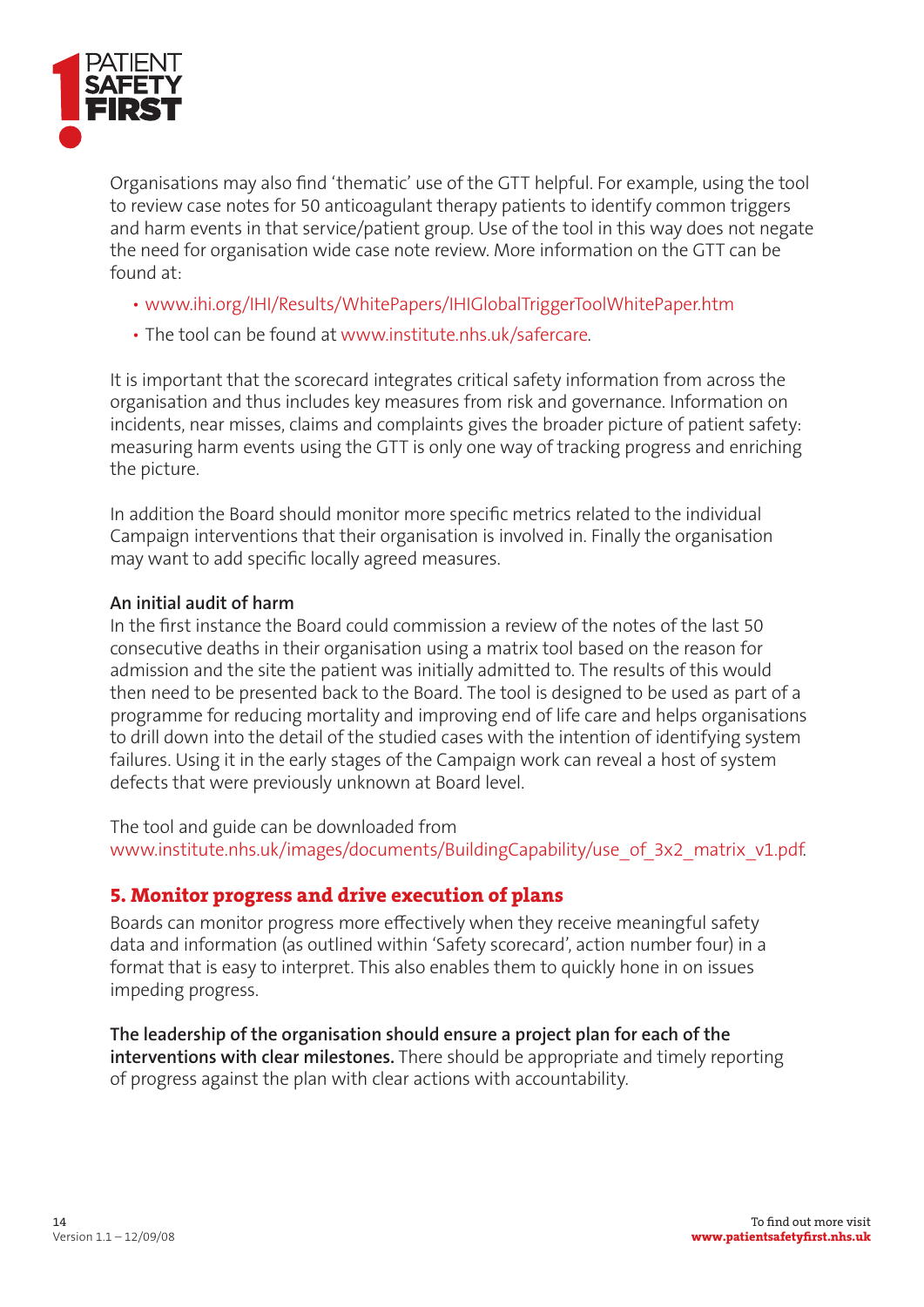

Organisations may also find 'thematic' use of the GTT helpful. For example, using the tool to review case notes for 50 anticoagulant therapy patients to identify common triggers and harm events in that service/patient group. Use of the tool in this way does not negate the need for organisation wide case note review. More information on the GTT can be found at:

- www.ihi.org/IHI/Results/WhitePapers/IHIGlobalTriggerToolWhitePaper.htm
- The tool can be found at www.institute.nhs.uk/safercare.

It is important that the scorecard integrates critical safety information from across the organisation and thus includes key measures from risk and governance. Information on incidents, near misses, claims and complaints gives the broader picture of patient safety: measuring harm events using the GTT is only one way of tracking progress and enriching the picture.

In addition the Board should monitor more specific metrics related to the individual Campaign interventions that their organisation is involved in. Finally the organisation may want to add specific locally agreed measures.

#### **An initial audit of harm**

In the first instance the Board could commission a review of the notes of the last 50 consecutive deaths in their organisation using a matrix tool based on the reason for admission and the site the patient was initially admitted to. The results of this would then need to be presented back to the Board. The tool is designed to be used as part of a programme for reducing mortality and improving end of life care and helps organisations to drill down into the detail of the studied cases with the intention of identifying system failures. Using it in the early stages of the Campaign work can reveal a host of system defects that were previously unknown at Board level.

The tool and guide can be downloaded from www.institute.nhs.uk/images/documents/BuildingCapability/use\_of\_3x2\_matrix\_v1.pdf.

#### **5. Monitor progress and drive execution of plans**

Boards can monitor progress more effectively when they receive meaningful safety data and information (as outlined within 'Safety scorecard', action number four) in a format that is easy to interpret. This also enables them to quickly hone in on issues impeding progress.

**The leadership of the organisation should ensure a project plan for each of the interventions with clear milestones.** There should be appropriate and timely reporting of progress against the plan with clear actions with accountability.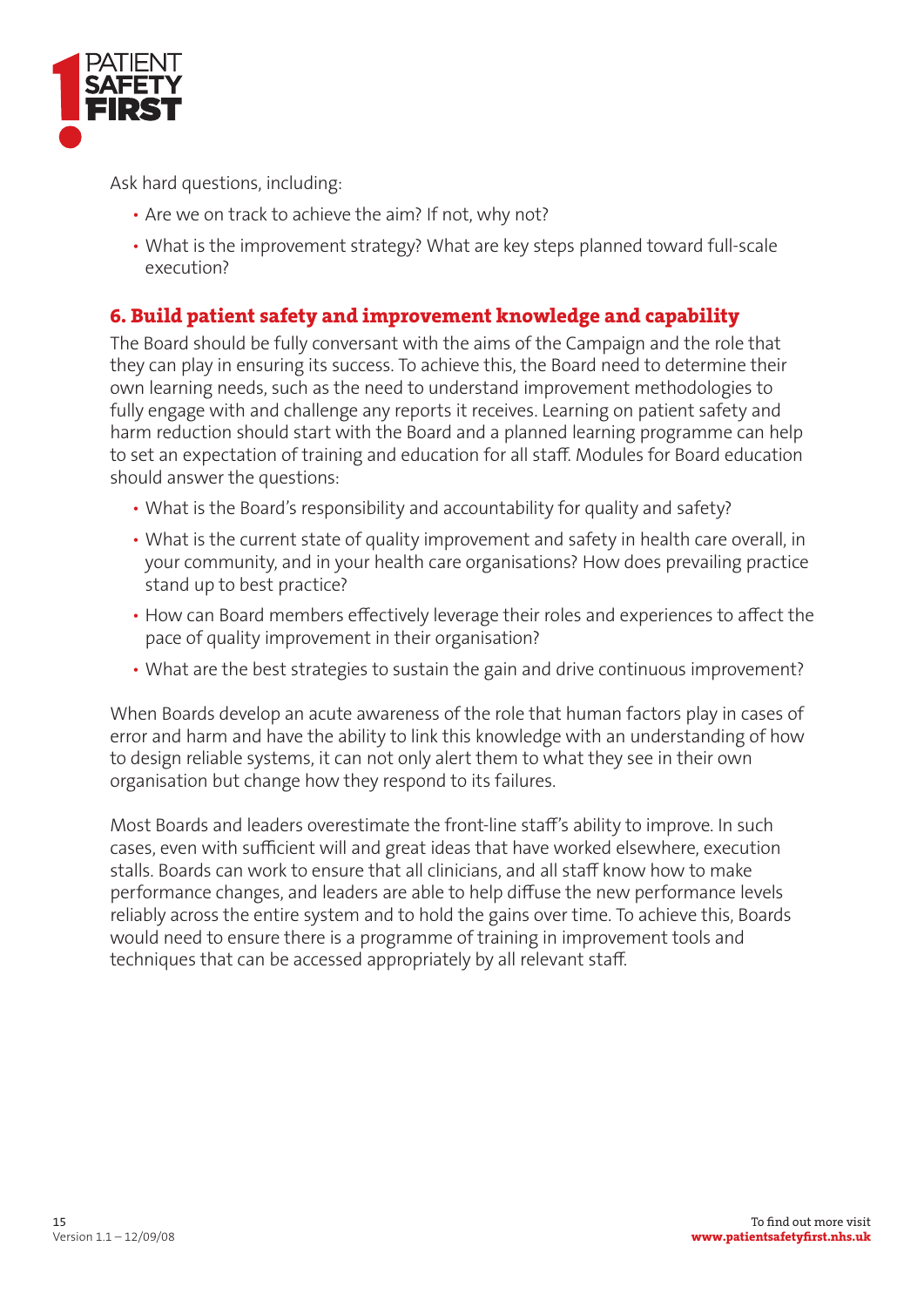

Ask hard questions, including:

- Are we on track to achieve the aim? If not, why not?
- What is the improvement strategy? What are key steps planned toward full-scale execution?

# **6. Build patient safety and improvement knowledge and capability**

The Board should be fully conversant with the aims of the Campaign and the role that they can play in ensuring its success. To achieve this, the Board need to determine their own learning needs, such as the need to understand improvement methodologies to fully engage with and challenge any reports it receives. Learning on patient safety and harm reduction should start with the Board and a planned learning programme can help to set an expectation of training and education for all staff. Modules for Board education should answer the questions:

- What is the Board's responsibility and accountability for quality and safety?
- What is the current state of quality improvement and safety in health care overall, in your community, and in your health care organisations? How does prevailing practice stand up to best practice?
- How can Board members effectively leverage their roles and experiences to affect the pace of quality improvement in their organisation?
- What are the best strategies to sustain the gain and drive continuous improvement?

When Boards develop an acute awareness of the role that human factors play in cases of error and harm and have the ability to link this knowledge with an understanding of how to design reliable systems, it can not only alert them to what they see in their own organisation but change how they respond to its failures.

Most Boards and leaders overestimate the front-line staff's ability to improve. In such cases, even with sufficient will and great ideas that have worked elsewhere, execution stalls. Boards can work to ensure that all clinicians, and all staff know how to make performance changes, and leaders are able to help diffuse the new performance levels reliably across the entire system and to hold the gains over time. To achieve this, Boards would need to ensure there is a programme of training in improvement tools and techniques that can be accessed appropriately by all relevant staff.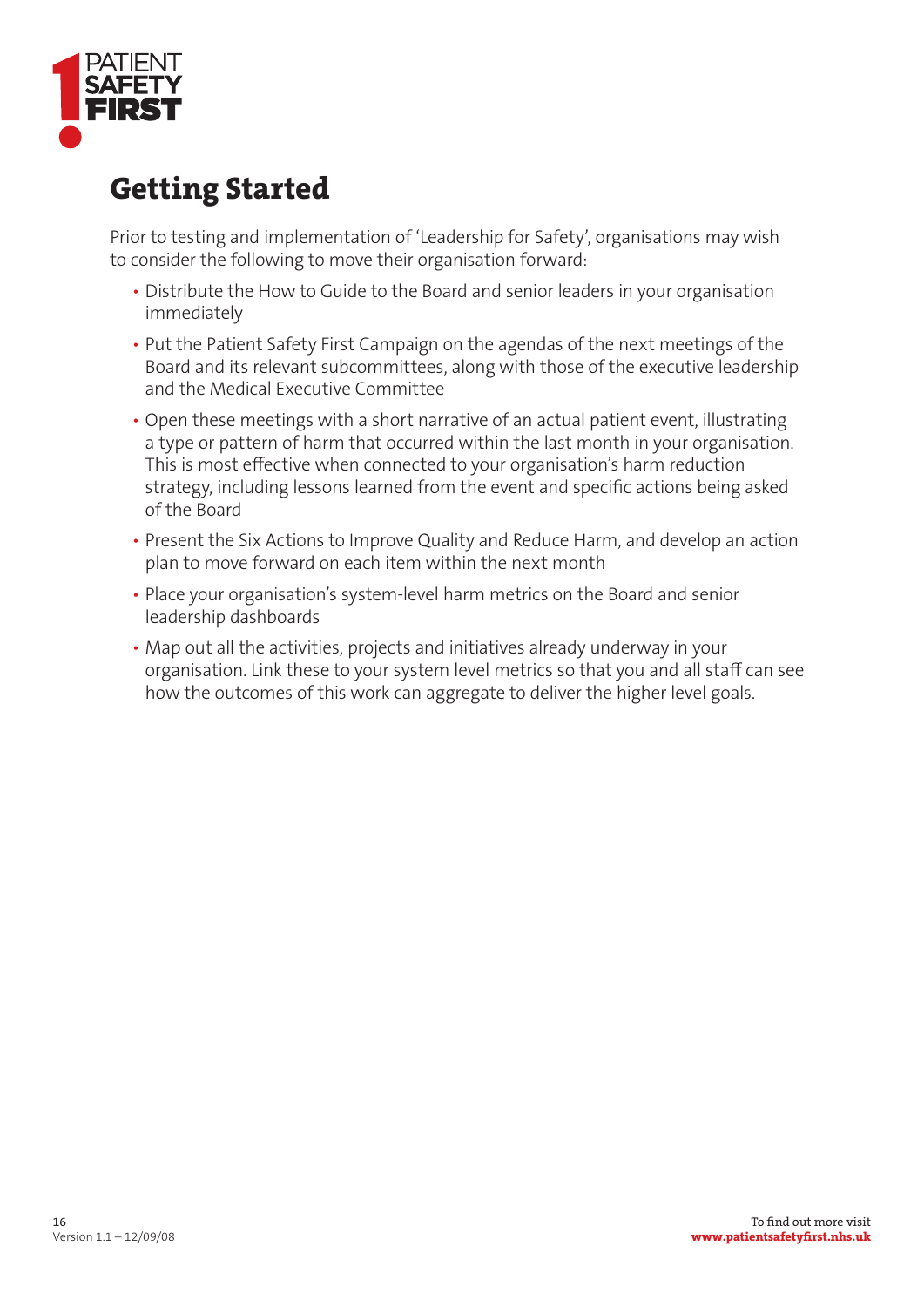

# **Getting Started**

Prior to testing and implementation of 'Leadership for Safety', organisations may wish to consider the following to move their organisation forward:

- Distribute the How to Guide to the Board and senior leaders in your organisation immediately
- Put the Patient Safety First Campaign on the agendas of the next meetings of the Board and its relevant subcommittees, along with those of the executive leadership and the Medical Executive Committee
- Open these meetings with a short narrative of an actual patient event, illustrating a type or pattern of harm that occurred within the last month in your organisation. This is most effective when connected to your organisation's harm reduction strategy, including lessons learned from the event and specific actions being asked of the Board
- Present the Six Actions to Improve Quality and Reduce Harm, and develop an action plan to move forward on each item within the next month
- Place your organisation's system-level harm metrics on the Board and senior leadership dashboards
- Map out all the activities, projects and initiatives already underway in your organisation. Link these to your system level metrics so that you and all staff can see how the outcomes of this work can aggregate to deliver the higher level goals.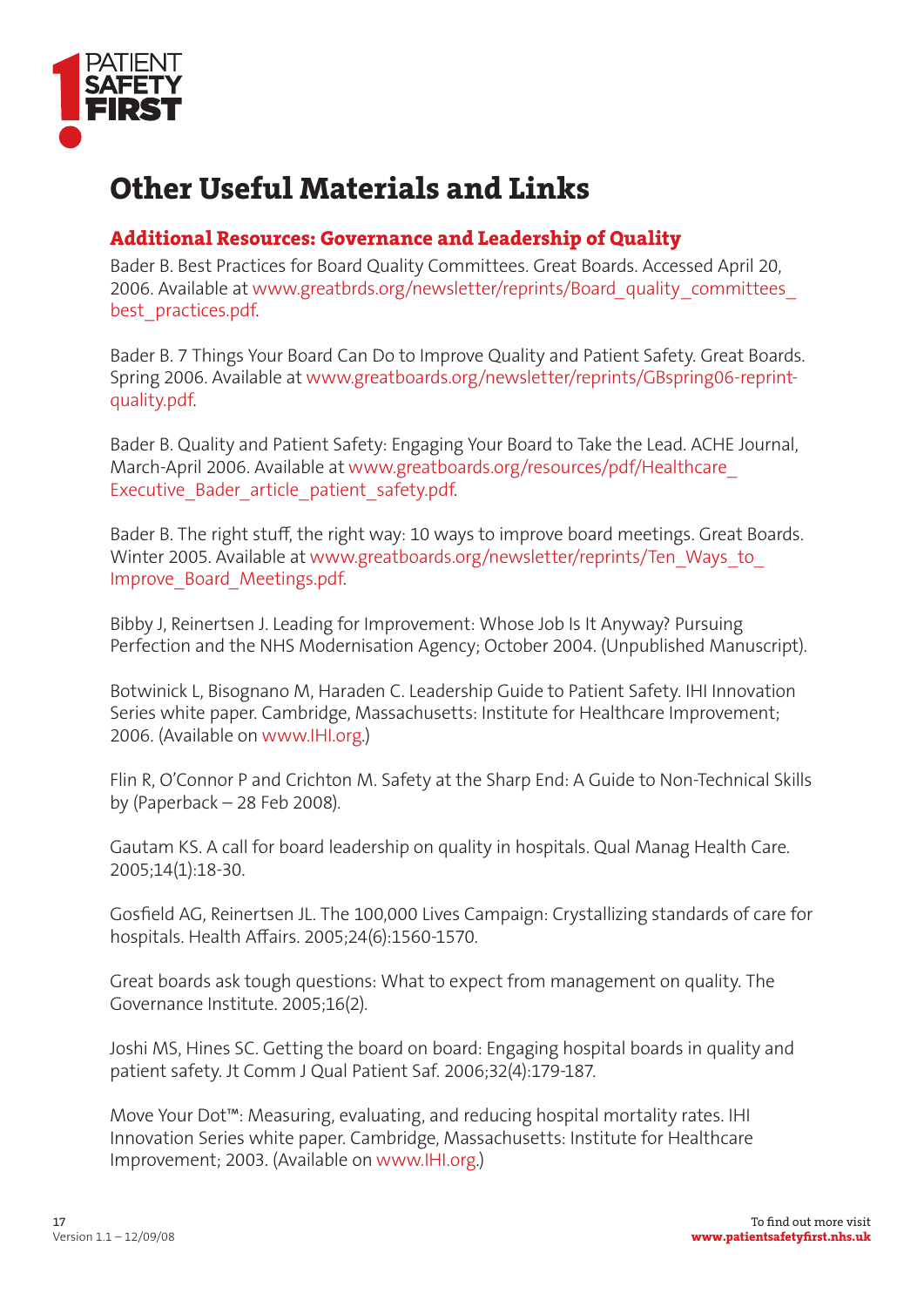

# **Other Useful Materials and Links**

# **Additional Resources: Governance and Leadership of Quality**

Bader B. Best Practices for Board Quality Committees. Great Boards. Accessed April 20, 2006. Available at www.greatbrds.org/newsletter/reprints/Board\_quality\_committees\_ best\_practices.pdf.

Bader B. 7 Things Your Board Can Do to Improve Quality and Patient Safety. Great Boards. Spring 2006. Available at www.greatboards.org/newsletter/reprints/GBspring06-reprintquality.pdf.

Bader B. Quality and Patient Safety: Engaging Your Board to Take the Lead. ACHE Journal, March-April 2006. Available at www.greatboards.org/resources/pdf/Healthcare\_ Executive Bader article patient safety.pdf.

Bader B. The right stuff, the right way: 10 ways to improve board meetings. Great Boards. Winter 2005. Available at www.greatboards.org/newsletter/reprints/Ten\_Ways\_to\_ Improve\_Board\_Meetings.pdf.

Bibby J, Reinertsen J. Leading for Improvement: Whose Job Is It Anyway? Pursuing Perfection and the NHS Modernisation Agency; October 2004. (Unpublished Manuscript).

Botwinick L, Bisognano M, Haraden C. Leadership Guide to Patient Safety. IHI Innovation Series white paper. Cambridge, Massachusetts: Institute for Healthcare Improvement; 2006. (Available on www.IHI.org.)

Flin R, O'Connor P and Crichton M. Safety at the Sharp End: A Guide to Non-Technical Skills by (Paperback – 28 Feb 2008).

Gautam KS. A call for board leadership on quality in hospitals. Qual Manag Health Care. 2005;14(1):18-30.

Gosfield AG, Reinertsen JL. The 100,000 Lives Campaign: Crystallizing standards of care for hospitals. Health Affairs. 2005;24(6):1560-1570.

Great boards ask tough questions: What to expect from management on quality. The Governance Institute. 2005;16(2).

Joshi MS, Hines SC. Getting the board on board: Engaging hospital boards in quality and patient safety. Jt Comm J Qual Patient Saf. 2006;32(4):179-187.

Move Your Dot™: Measuring, evaluating, and reducing hospital mortality rates. IHI Innovation Series white paper. Cambridge, Massachusetts: Institute for Healthcare Improvement; 2003. (Available on www.IHI.org.)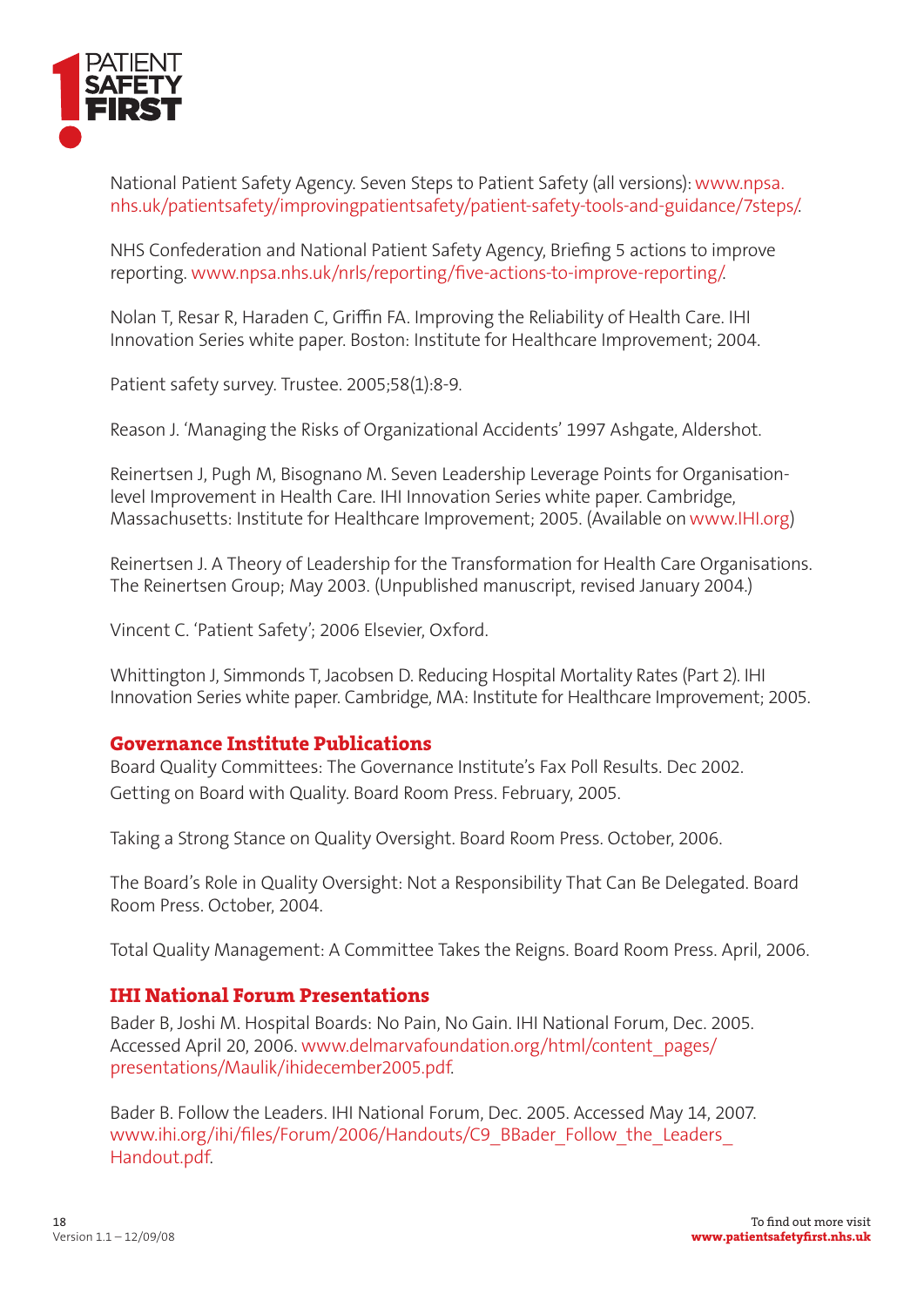

National Patient Safety Agency. Seven Steps to Patient Safety (all versions): www.npsa. nhs.uk/patientsafety/improvingpatientsafety/patient-safety-tools-and-guidance/7steps/.

NHS Confederation and National Patient Safety Agency, Briefing 5 actions to improve reporting. www.npsa.nhs.uk/nrls/reporting/five-actions-to-improve-reporting/.

Nolan T, Resar R, Haraden C, Griffin FA. Improving the Reliability of Health Care. IHI Innovation Series white paper. Boston: Institute for Healthcare Improvement; 2004.

Patient safety survey. Trustee. 2005;58(1):8-9.

Reason J. 'Managing the Risks of Organizational Accidents' 1997 Ashgate, Aldershot.

Reinertsen J, Pugh M, Bisognano M. Seven Leadership Leverage Points for Organisationlevel Improvement in Health Care. IHI Innovation Series white paper. Cambridge, Massachusetts: Institute for Healthcare Improvement; 2005. (Available on www.IHI.org)

Reinertsen J. A Theory of Leadership for the Transformation for Health Care Organisations. The Reinertsen Group; May 2003. (Unpublished manuscript, revised January 2004.)

Vincent C. 'Patient Safety'; 2006 Elsevier, Oxford.

Whittington J, Simmonds T, Jacobsen D. Reducing Hospital Mortality Rates (Part 2). IHI Innovation Series white paper. Cambridge, MA: Institute for Healthcare Improvement; 2005.

#### **Governance Institute Publications**

Board Quality Committees: The Governance Institute's Fax Poll Results. Dec 2002. Getting on Board with Quality. Board Room Press. February, 2005.

Taking a Strong Stance on Quality Oversight. Board Room Press. October, 2006.

The Board's Role in Quality Oversight: Not a Responsibility That Can Be Delegated. Board Room Press. October, 2004.

Total Quality Management: A Committee Takes the Reigns. Board Room Press. April, 2006.

#### **IHI National Forum Presentations**

Bader B, Joshi M. Hospital Boards: No Pain, No Gain. IHI National Forum, Dec. 2005. Accessed April 20, 2006. www.delmarvafoundation.org/html/content\_pages/ presentations/Maulik/ihidecember2005.pdf.

Bader B. Follow the Leaders. IHI National Forum, Dec. 2005. Accessed May 14, 2007. www.ihi.org/ihi/files/Forum/2006/Handouts/C9\_BBader\_Follow\_the\_Leaders Handout.pdf.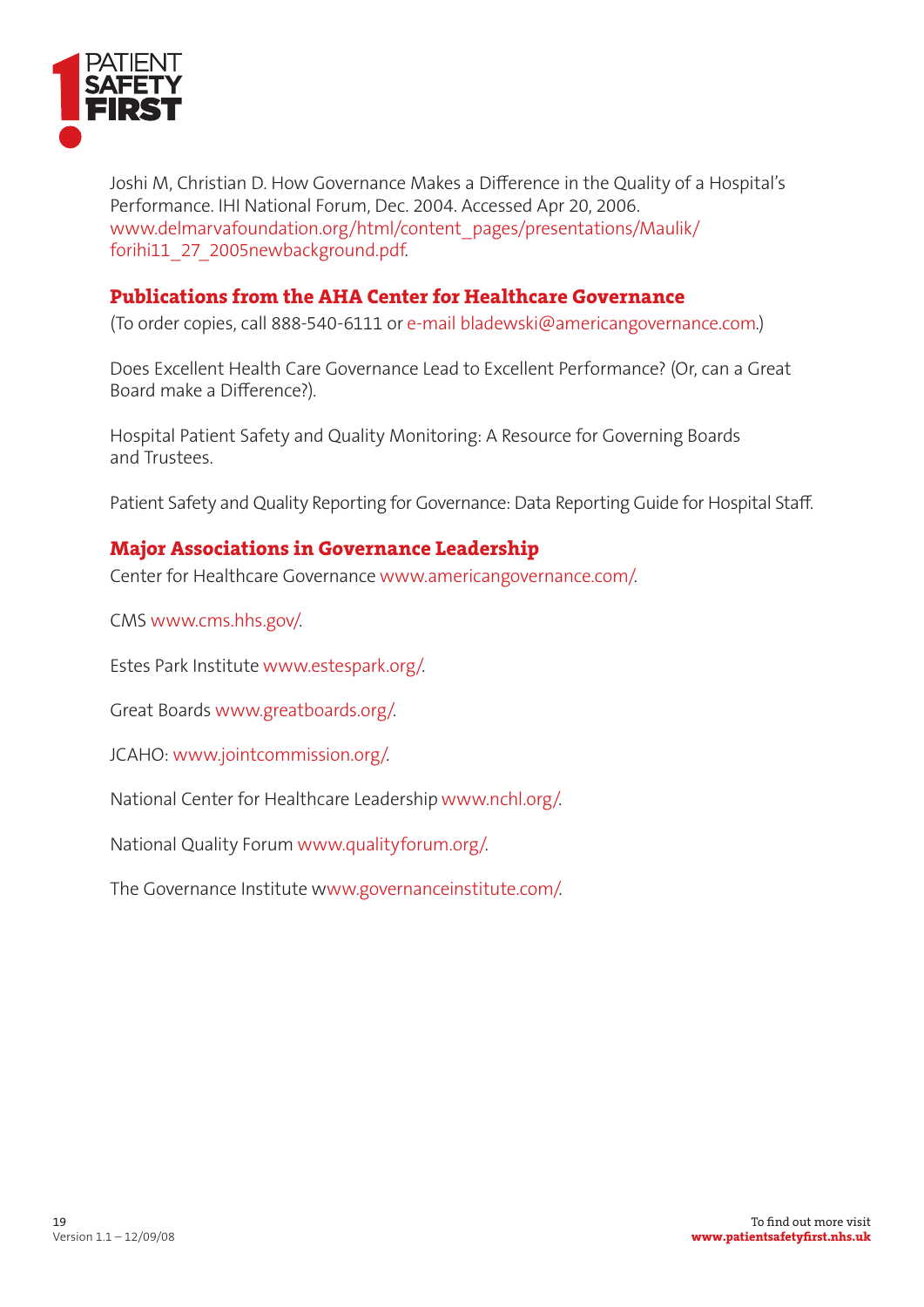

Joshi M, Christian D. How Governance Makes a Difference in the Quality of a Hospital's Performance. IHI National Forum, Dec. 2004. Accessed Apr 20, 2006. www.delmarvafoundation.org/html/content\_pages/presentations/Maulik/ forihi11\_27\_2005newbackground.pdf.

# **Publications from the AHA Center for Healthcare Governance**

(To order copies, call 888-540-6111 or e-mail bladewski@americangovernance.com.)

Does Excellent Health Care Governance Lead to Excellent Performance? (Or, can a Great Board make a Difference?).

Hospital Patient Safety and Quality Monitoring: A Resource for Governing Boards and Trustees.

Patient Safety and Quality Reporting for Governance: Data Reporting Guide for Hospital Staff.

### **Major Associations in Governance Leadership**

Center for Healthcare Governance www.americangovernance.com/.

CMS www.cms.hhs.gov/.

Estes Park Institute www.estespark.org/.

Great Boards www.greatboards.org/.

JCAHO: www.jointcommission.org/.

National Center for Healthcare Leadership www.nchl.org/.

National Quality Forum www.qualityforum.org/.

The Governance Institute www.governanceinstitute.com/.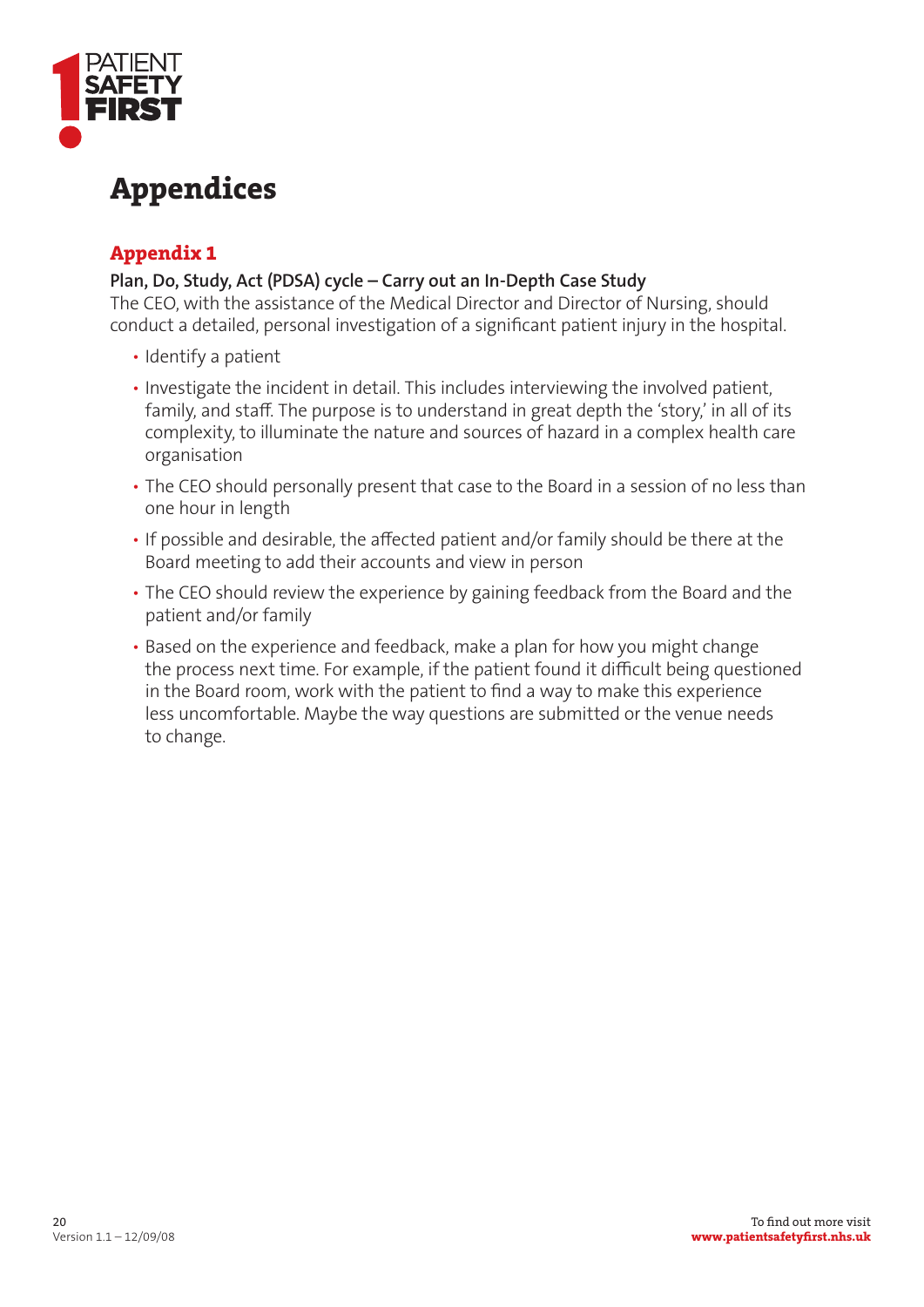

# **Appendices**

# **Appendix 1**

### **Plan, Do, Study, Act (PDSA) cycle – Carry out an In-Depth Case Study**

The CEO, with the assistance of the Medical Director and Director of Nursing, should conduct a detailed, personal investigation of a significant patient injury in the hospital.

- Identify a patient
- Investigate the incident in detail. This includes interviewing the involved patient, family, and staff. The purpose is to understand in great depth the 'story,' in all of its complexity, to illuminate the nature and sources of hazard in a complex health care organisation
- The CEO should personally present that case to the Board in a session of no less than one hour in length
- If possible and desirable, the affected patient and/or family should be there at the Board meeting to add their accounts and view in person
- The CEO should review the experience by gaining feedback from the Board and the patient and/or family
- . Based on the experience and feedback, make a plan for how you might change the process next time. For example, if the patient found it difficult being questioned in the Board room, work with the patient to find a way to make this experience less uncomfortable. Maybe the way questions are submitted or the venue needs to change.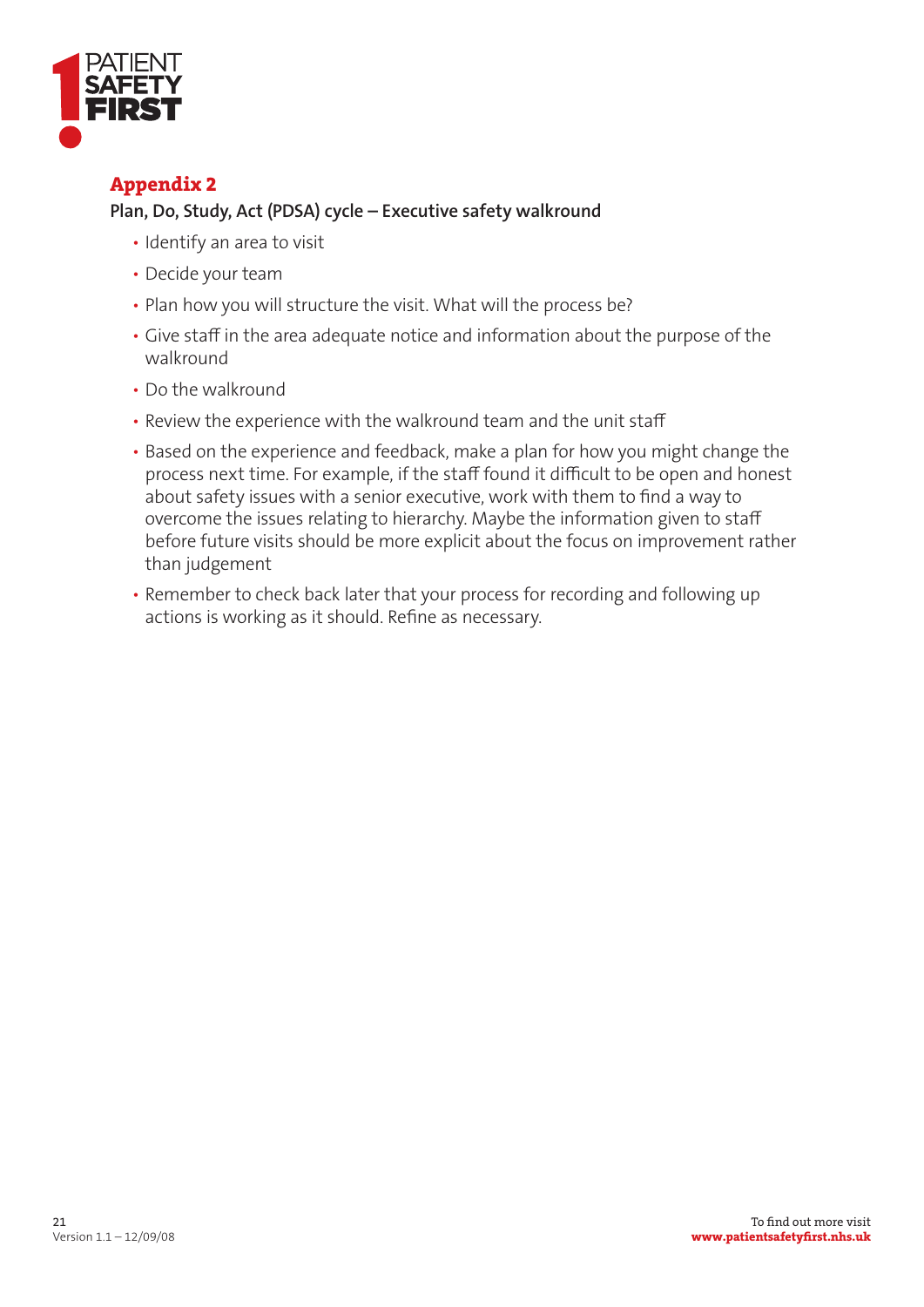

### **Appendix 2**

#### **Plan, Do, Study, Act (PDSA) cycle – Executive safety walkround**

- Identify an area to visit
- Decide your team
- Plan how you will structure the visit. What will the process be?
- Give staff in the area adequate notice and information about the purpose of the walkround
- Do the walkround
- Review the experience with the walkround team and the unit staff
- Based on the experience and feedback, make a plan for how you might change the process next time. For example, if the staff found it difficult to be open and honest about safety issues with a senior executive, work with them to find a way to overcome the issues relating to hierarchy. Maybe the information given to staff before future visits should be more explicit about the focus on improvement rather than judgement
- Remember to check back later that your process for recording and following up actions is working as it should. Refine as necessary.